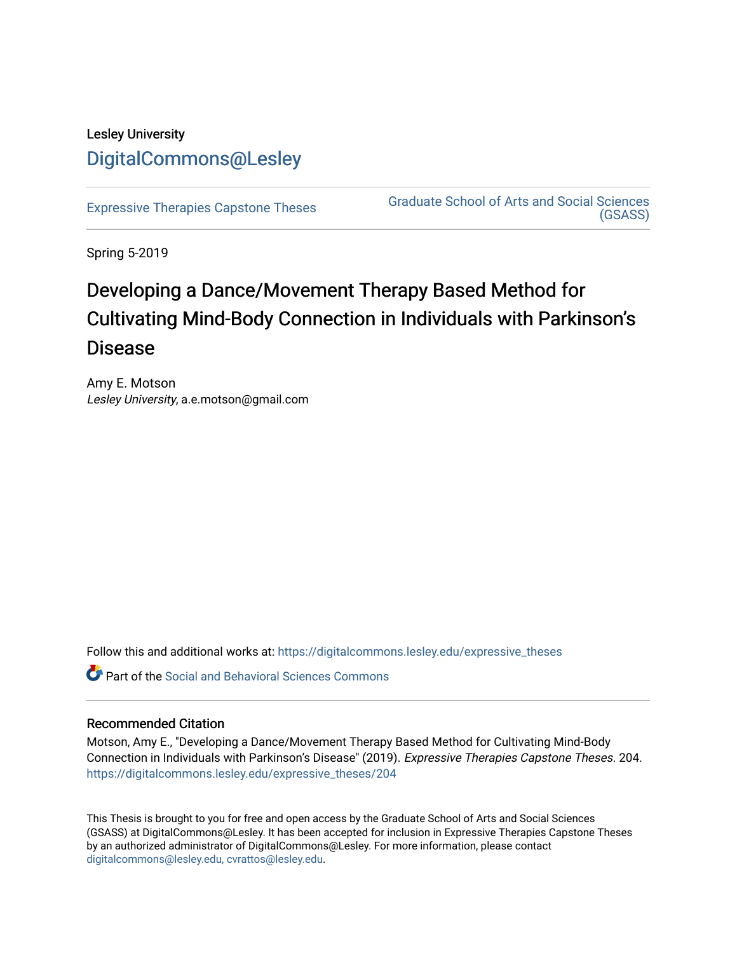# Lesley University [DigitalCommons@Lesley](https://digitalcommons.lesley.edu/)

[Expressive Therapies Capstone Theses](https://digitalcommons.lesley.edu/expressive_theses) Graduate School of Arts and Social Sciences [\(GSASS\)](https://digitalcommons.lesley.edu/gsass) 

Spring 5-2019

# Developing a Dance/Movement Therapy Based Method for Cultivating Mind-Body Connection in Individuals with Parkinson's Disease

Amy E. Motson Lesley University, a.e.motson@gmail.com

Follow this and additional works at: [https://digitalcommons.lesley.edu/expressive\\_theses](https://digitalcommons.lesley.edu/expressive_theses?utm_source=digitalcommons.lesley.edu%2Fexpressive_theses%2F204&utm_medium=PDF&utm_campaign=PDFCoverPages)

Part of the [Social and Behavioral Sciences Commons](http://network.bepress.com/hgg/discipline/316?utm_source=digitalcommons.lesley.edu%2Fexpressive_theses%2F204&utm_medium=PDF&utm_campaign=PDFCoverPages) 

# Recommended Citation

Motson, Amy E., "Developing a Dance/Movement Therapy Based Method for Cultivating Mind-Body Connection in Individuals with Parkinson's Disease" (2019). Expressive Therapies Capstone Theses. 204. [https://digitalcommons.lesley.edu/expressive\\_theses/204](https://digitalcommons.lesley.edu/expressive_theses/204?utm_source=digitalcommons.lesley.edu%2Fexpressive_theses%2F204&utm_medium=PDF&utm_campaign=PDFCoverPages)

This Thesis is brought to you for free and open access by the Graduate School of Arts and Social Sciences (GSASS) at DigitalCommons@Lesley. It has been accepted for inclusion in Expressive Therapies Capstone Theses by an authorized administrator of DigitalCommons@Lesley. For more information, please contact [digitalcommons@lesley.edu, cvrattos@lesley.edu](mailto:digitalcommons@lesley.edu,%20cvrattos@lesley.edu).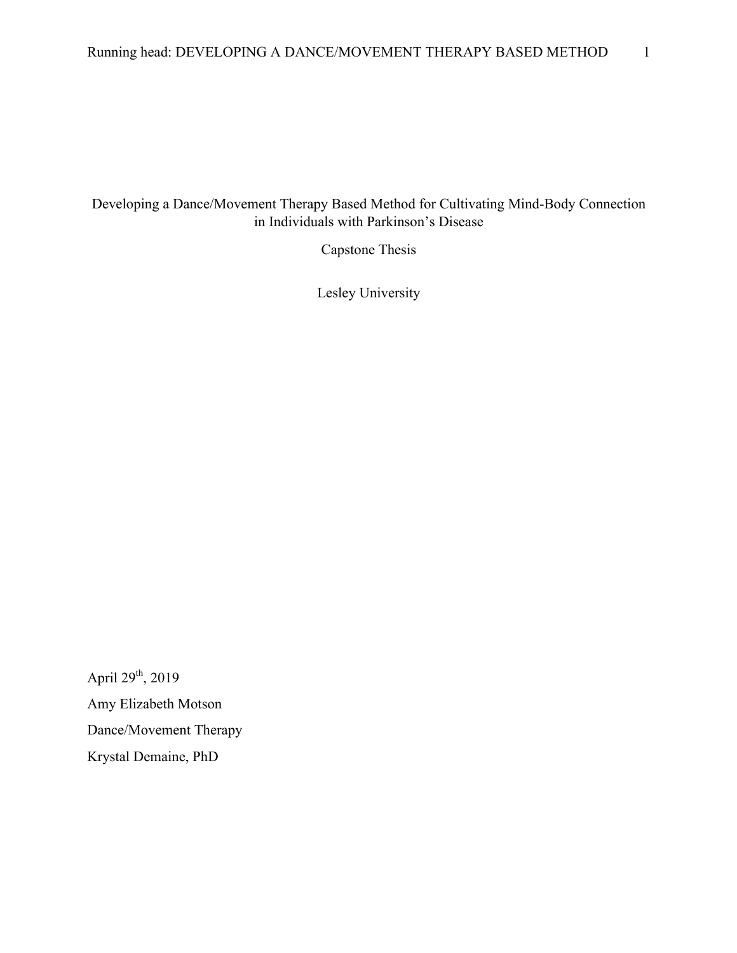# Developing a Dance/Movement Therapy Based Method for Cultivating Mind-Body Connection in Individuals with Parkinson's Disease

Capstone Thesis

Lesley University

April  $29^{th}$ , 2019 Amy Elizabeth Motson Dance/Movement Therapy Krystal Demaine, PhD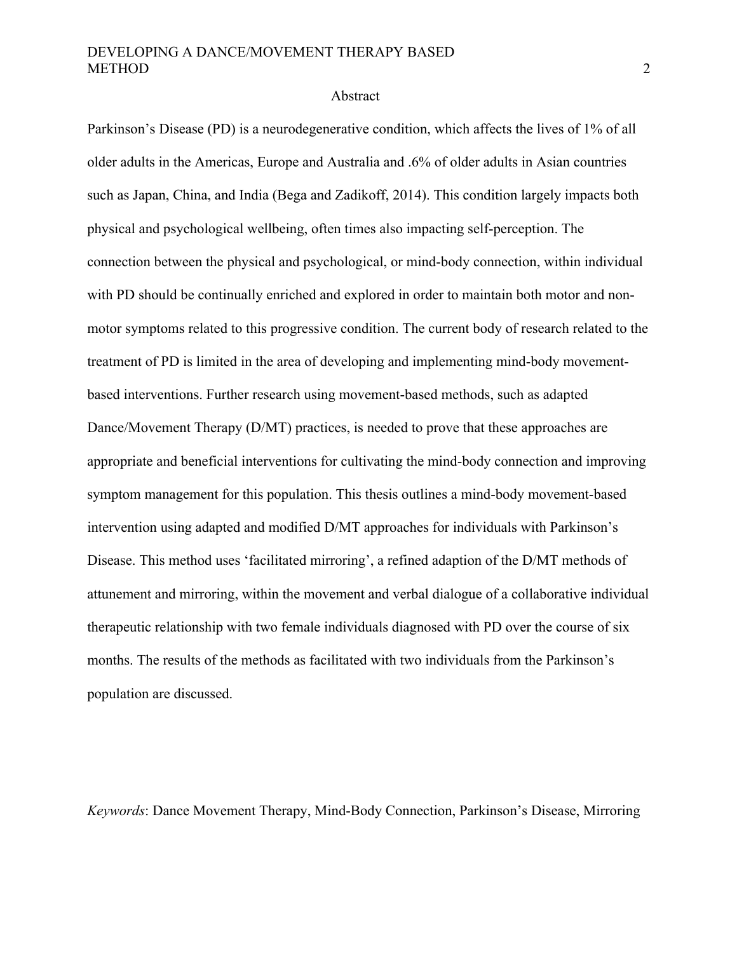#### Abstract

Parkinson's Disease (PD) is a neurodegenerative condition, which affects the lives of 1% of all older adults in the Americas, Europe and Australia and .6% of older adults in Asian countries such as Japan, China, and India (Bega and Zadikoff, 2014). This condition largely impacts both physical and psychological wellbeing, often times also impacting self-perception. The connection between the physical and psychological, or mind-body connection, within individual with PD should be continually enriched and explored in order to maintain both motor and nonmotor symptoms related to this progressive condition. The current body of research related to the treatment of PD is limited in the area of developing and implementing mind-body movementbased interventions. Further research using movement-based methods, such as adapted Dance/Movement Therapy (D/MT) practices, is needed to prove that these approaches are appropriate and beneficial interventions for cultivating the mind-body connection and improving symptom management for this population. This thesis outlines a mind-body movement-based intervention using adapted and modified D/MT approaches for individuals with Parkinson's Disease. This method uses 'facilitated mirroring', a refined adaption of the D/MT methods of attunement and mirroring, within the movement and verbal dialogue of a collaborative individual therapeutic relationship with two female individuals diagnosed with PD over the course of six months. The results of the methods as facilitated with two individuals from the Parkinson's population are discussed.

*Keywords*: Dance Movement Therapy, Mind-Body Connection, Parkinson's Disease, Mirroring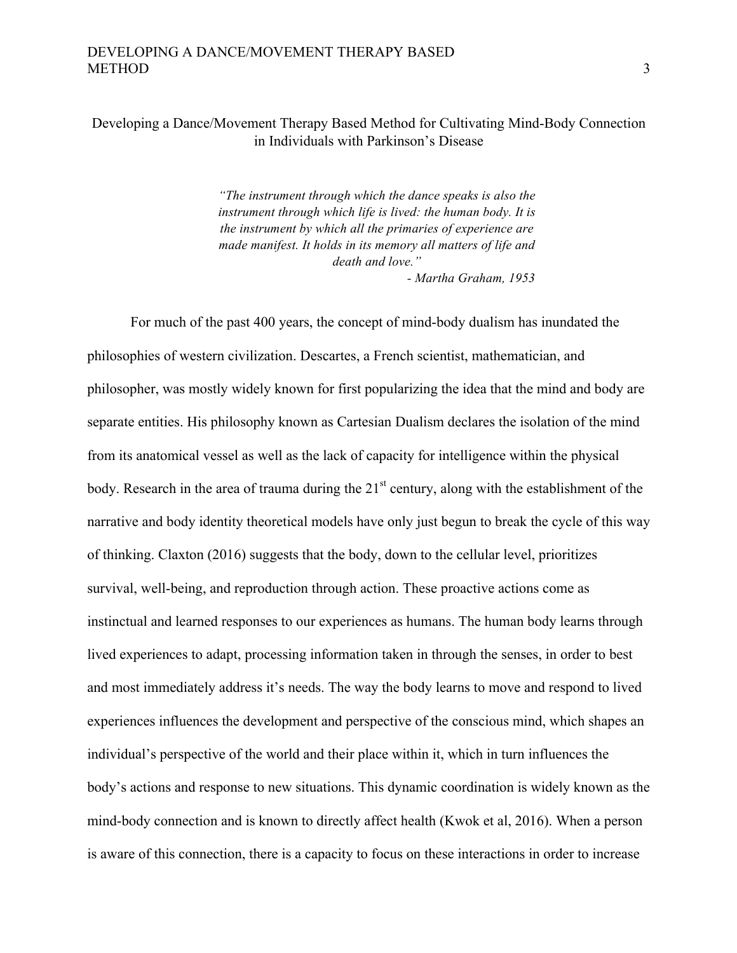# Developing a Dance/Movement Therapy Based Method for Cultivating Mind-Body Connection in Individuals with Parkinson's Disease

*"The instrument through which the dance speaks is also the instrument through which life is lived: the human body. It is the instrument by which all the primaries of experience are made manifest. It holds in its memory all matters of life and death and love." - Martha Graham, 1953*

For much of the past 400 years, the concept of mind-body dualism has inundated the philosophies of western civilization. Descartes, a French scientist, mathematician, and philosopher, was mostly widely known for first popularizing the idea that the mind and body are separate entities. His philosophy known as Cartesian Dualism declares the isolation of the mind from its anatomical vessel as well as the lack of capacity for intelligence within the physical body. Research in the area of trauma during the 21<sup>st</sup> century, along with the establishment of the narrative and body identity theoretical models have only just begun to break the cycle of this way of thinking. Claxton (2016) suggests that the body, down to the cellular level, prioritizes survival, well-being, and reproduction through action. These proactive actions come as instinctual and learned responses to our experiences as humans. The human body learns through lived experiences to adapt, processing information taken in through the senses, in order to best and most immediately address it's needs. The way the body learns to move and respond to lived experiences influences the development and perspective of the conscious mind, which shapes an individual's perspective of the world and their place within it, which in turn influences the body's actions and response to new situations. This dynamic coordination is widely known as the mind-body connection and is known to directly affect health (Kwok et al, 2016). When a person is aware of this connection, there is a capacity to focus on these interactions in order to increase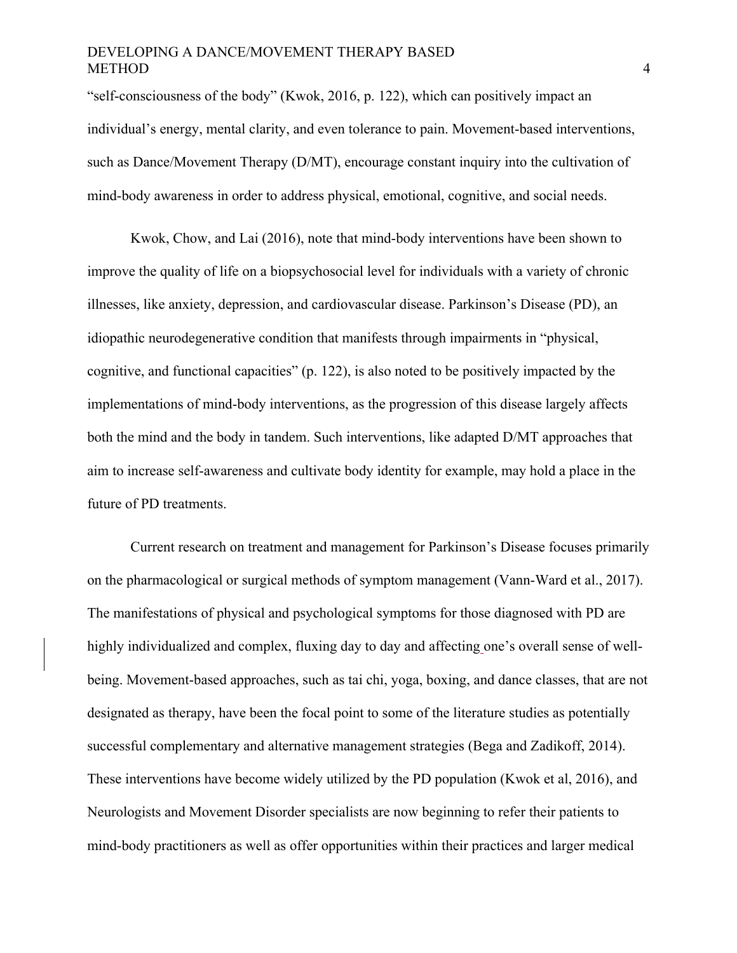"self-consciousness of the body" (Kwok, 2016, p. 122), which can positively impact an individual's energy, mental clarity, and even tolerance to pain. Movement-based interventions, such as Dance/Movement Therapy (D/MT), encourage constant inquiry into the cultivation of mind-body awareness in order to address physical, emotional, cognitive, and social needs.

Kwok, Chow, and Lai (2016), note that mind-body interventions have been shown to improve the quality of life on a biopsychosocial level for individuals with a variety of chronic illnesses, like anxiety, depression, and cardiovascular disease. Parkinson's Disease (PD), an idiopathic neurodegenerative condition that manifests through impairments in "physical, cognitive, and functional capacities" (p. 122), is also noted to be positively impacted by the implementations of mind-body interventions, as the progression of this disease largely affects both the mind and the body in tandem. Such interventions, like adapted D/MT approaches that aim to increase self-awareness and cultivate body identity for example, may hold a place in the future of PD treatments.

Current research on treatment and management for Parkinson's Disease focuses primarily on the pharmacological or surgical methods of symptom management (Vann-Ward et al., 2017). The manifestations of physical and psychological symptoms for those diagnosed with PD are highly individualized and complex, fluxing day to day and affecting one's overall sense of wellbeing. Movement-based approaches, such as tai chi, yoga, boxing, and dance classes, that are not designated as therapy, have been the focal point to some of the literature studies as potentially successful complementary and alternative management strategies (Bega and Zadikoff, 2014). These interventions have become widely utilized by the PD population (Kwok et al, 2016), and Neurologists and Movement Disorder specialists are now beginning to refer their patients to mind-body practitioners as well as offer opportunities within their practices and larger medical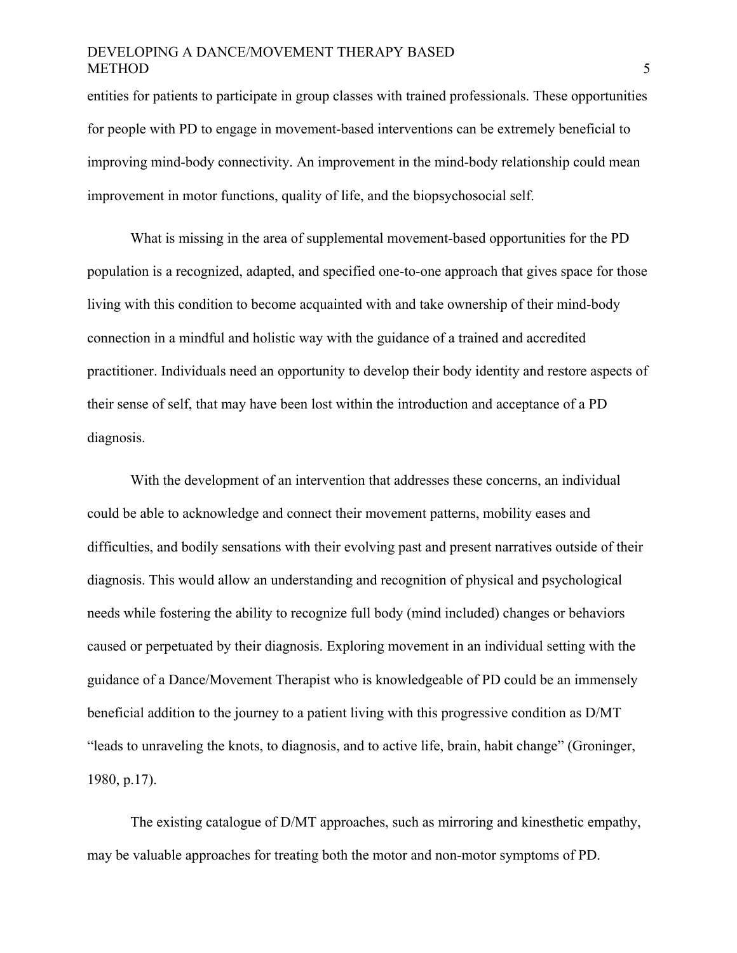entities for patients to participate in group classes with trained professionals. These opportunities for people with PD to engage in movement-based interventions can be extremely beneficial to improving mind-body connectivity. An improvement in the mind-body relationship could mean improvement in motor functions, quality of life, and the biopsychosocial self.

What is missing in the area of supplemental movement-based opportunities for the PD population is a recognized, adapted, and specified one-to-one approach that gives space for those living with this condition to become acquainted with and take ownership of their mind-body connection in a mindful and holistic way with the guidance of a trained and accredited practitioner. Individuals need an opportunity to develop their body identity and restore aspects of their sense of self, that may have been lost within the introduction and acceptance of a PD diagnosis.

With the development of an intervention that addresses these concerns, an individual could be able to acknowledge and connect their movement patterns, mobility eases and difficulties, and bodily sensations with their evolving past and present narratives outside of their diagnosis. This would allow an understanding and recognition of physical and psychological needs while fostering the ability to recognize full body (mind included) changes or behaviors caused or perpetuated by their diagnosis. Exploring movement in an individual setting with the guidance of a Dance/Movement Therapist who is knowledgeable of PD could be an immensely beneficial addition to the journey to a patient living with this progressive condition as D/MT "leads to unraveling the knots, to diagnosis, and to active life, brain, habit change" (Groninger, 1980, p.17).

The existing catalogue of D/MT approaches, such as mirroring and kinesthetic empathy, may be valuable approaches for treating both the motor and non-motor symptoms of PD.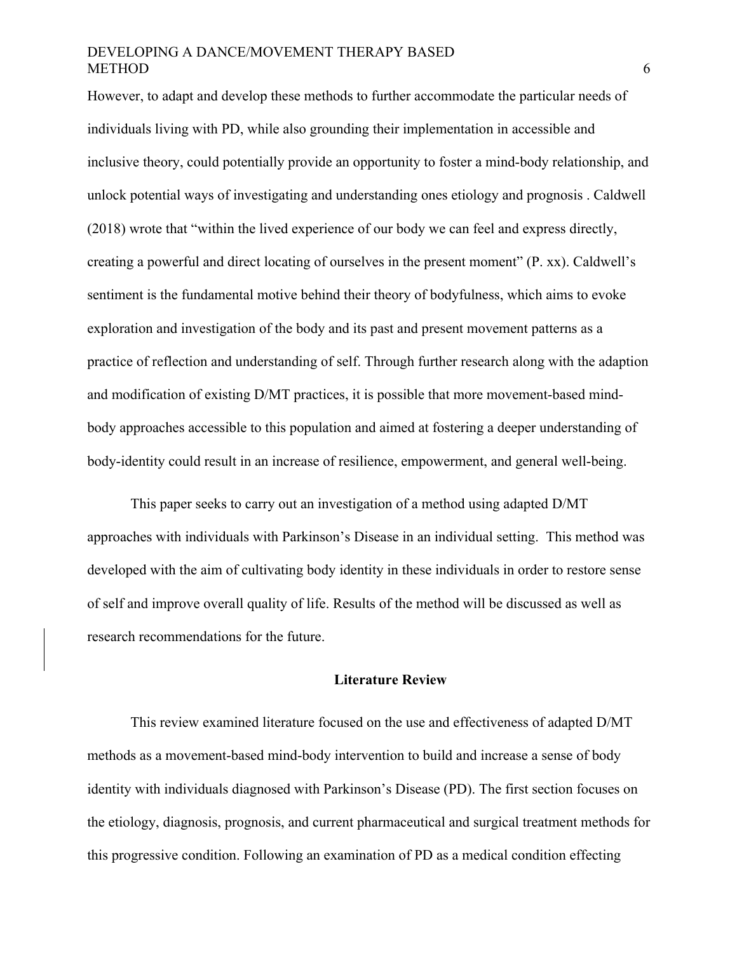However, to adapt and develop these methods to further accommodate the particular needs of individuals living with PD, while also grounding their implementation in accessible and inclusive theory, could potentially provide an opportunity to foster a mind-body relationship, and unlock potential ways of investigating and understanding ones etiology and prognosis . Caldwell (2018) wrote that "within the lived experience of our body we can feel and express directly, creating a powerful and direct locating of ourselves in the present moment" (P. xx). Caldwell's sentiment is the fundamental motive behind their theory of bodyfulness, which aims to evoke exploration and investigation of the body and its past and present movement patterns as a practice of reflection and understanding of self. Through further research along with the adaption and modification of existing D/MT practices, it is possible that more movement-based mindbody approaches accessible to this population and aimed at fostering a deeper understanding of body-identity could result in an increase of resilience, empowerment, and general well-being.

This paper seeks to carry out an investigation of a method using adapted D/MT approaches with individuals with Parkinson's Disease in an individual setting. This method was developed with the aim of cultivating body identity in these individuals in order to restore sense of self and improve overall quality of life. Results of the method will be discussed as well as research recommendations for the future.

#### **Literature Review**

This review examined literature focused on the use and effectiveness of adapted D/MT methods as a movement-based mind-body intervention to build and increase a sense of body identity with individuals diagnosed with Parkinson's Disease (PD). The first section focuses on the etiology, diagnosis, prognosis, and current pharmaceutical and surgical treatment methods for this progressive condition. Following an examination of PD as a medical condition effecting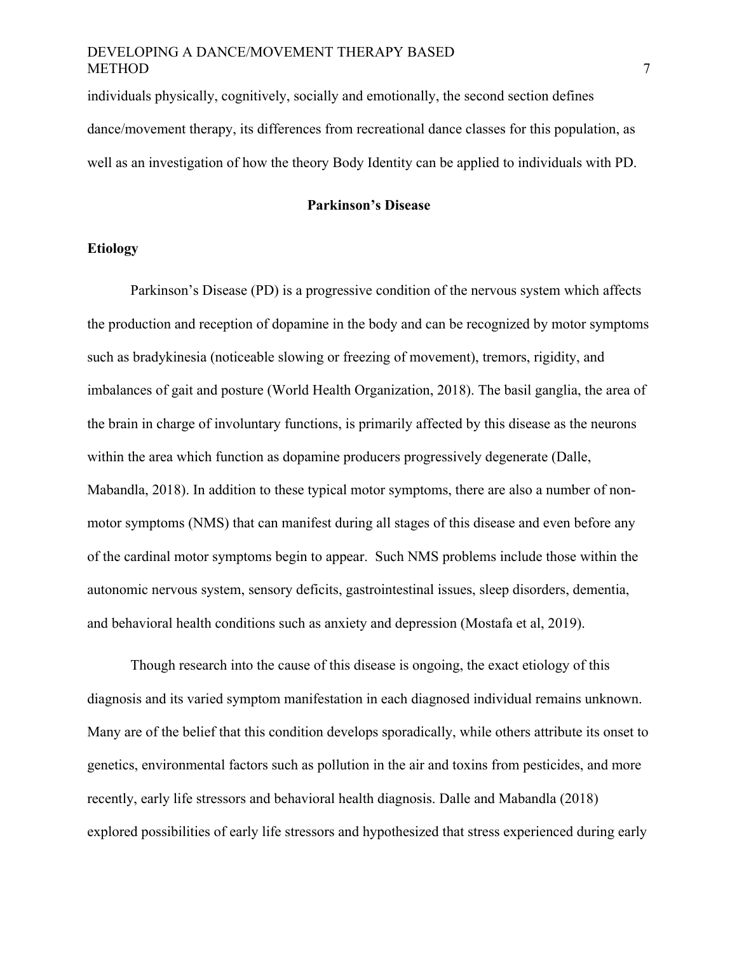individuals physically, cognitively, socially and emotionally, the second section defines dance/movement therapy, its differences from recreational dance classes for this population, as well as an investigation of how the theory Body Identity can be applied to individuals with PD.

# **Parkinson's Disease**

# **Etiology**

Parkinson's Disease (PD) is a progressive condition of the nervous system which affects the production and reception of dopamine in the body and can be recognized by motor symptoms such as bradykinesia (noticeable slowing or freezing of movement), tremors, rigidity, and imbalances of gait and posture (World Health Organization, 2018). The basil ganglia, the area of the brain in charge of involuntary functions, is primarily affected by this disease as the neurons within the area which function as dopamine producers progressively degenerate (Dalle, Mabandla, 2018). In addition to these typical motor symptoms, there are also a number of nonmotor symptoms (NMS) that can manifest during all stages of this disease and even before any of the cardinal motor symptoms begin to appear. Such NMS problems include those within the autonomic nervous system, sensory deficits, gastrointestinal issues, sleep disorders, dementia, and behavioral health conditions such as anxiety and depression (Mostafa et al, 2019).

Though research into the cause of this disease is ongoing, the exact etiology of this diagnosis and its varied symptom manifestation in each diagnosed individual remains unknown. Many are of the belief that this condition develops sporadically, while others attribute its onset to genetics, environmental factors such as pollution in the air and toxins from pesticides, and more recently, early life stressors and behavioral health diagnosis. Dalle and Mabandla (2018) explored possibilities of early life stressors and hypothesized that stress experienced during early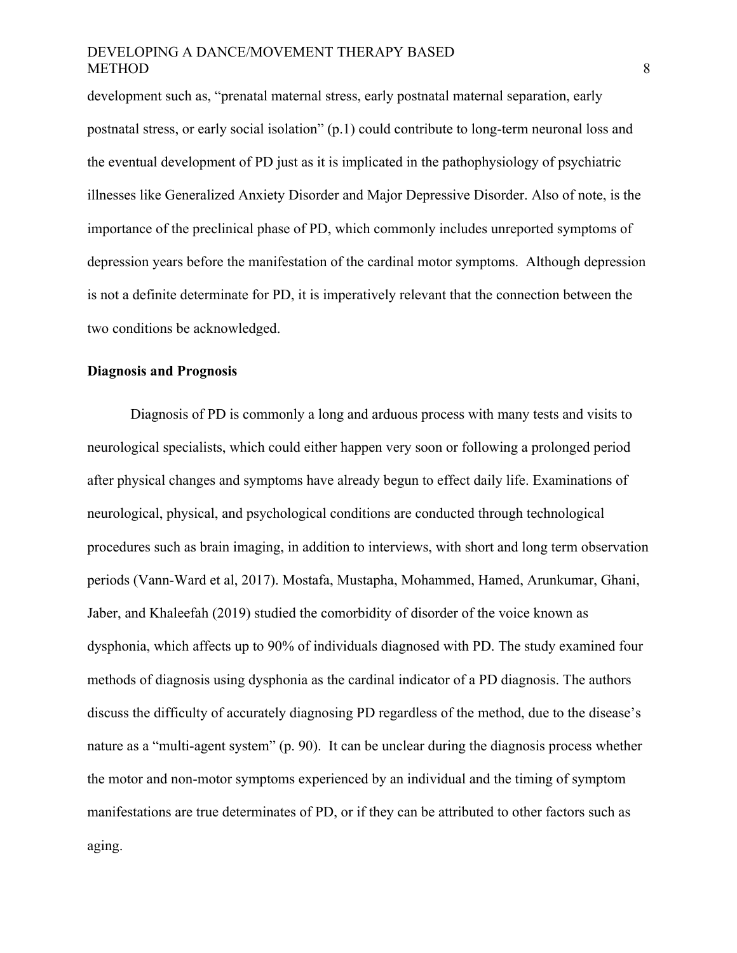development such as, "prenatal maternal stress, early postnatal maternal separation, early postnatal stress, or early social isolation" (p.1) could contribute to long-term neuronal loss and the eventual development of PD just as it is implicated in the pathophysiology of psychiatric illnesses like Generalized Anxiety Disorder and Major Depressive Disorder. Also of note, is the importance of the preclinical phase of PD, which commonly includes unreported symptoms of depression years before the manifestation of the cardinal motor symptoms. Although depression is not a definite determinate for PD, it is imperatively relevant that the connection between the two conditions be acknowledged.

#### **Diagnosis and Prognosis**

Diagnosis of PD is commonly a long and arduous process with many tests and visits to neurological specialists, which could either happen very soon or following a prolonged period after physical changes and symptoms have already begun to effect daily life. Examinations of neurological, physical, and psychological conditions are conducted through technological procedures such as brain imaging, in addition to interviews, with short and long term observation periods (Vann-Ward et al, 2017). Mostafa, Mustapha, Mohammed, Hamed, Arunkumar, Ghani, Jaber, and Khaleefah (2019) studied the comorbidity of disorder of the voice known as dysphonia, which affects up to 90% of individuals diagnosed with PD. The study examined four methods of diagnosis using dysphonia as the cardinal indicator of a PD diagnosis. The authors discuss the difficulty of accurately diagnosing PD regardless of the method, due to the disease's nature as a "multi-agent system" (p. 90). It can be unclear during the diagnosis process whether the motor and non-motor symptoms experienced by an individual and the timing of symptom manifestations are true determinates of PD, or if they can be attributed to other factors such as aging.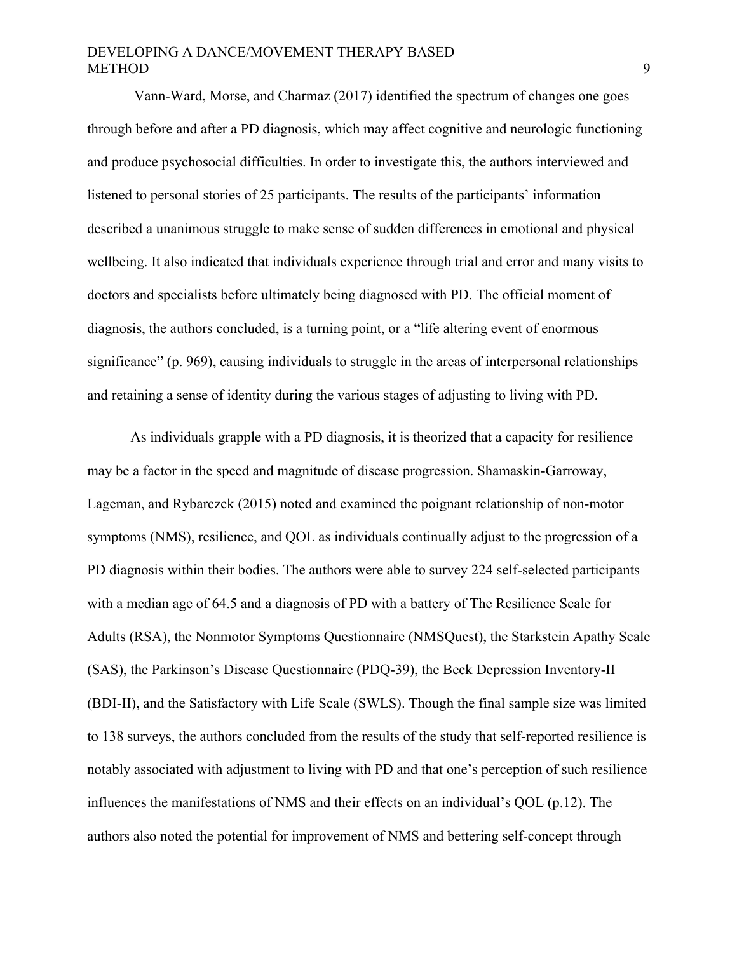Vann-Ward, Morse, and Charmaz (2017) identified the spectrum of changes one goes through before and after a PD diagnosis, which may affect cognitive and neurologic functioning and produce psychosocial difficulties. In order to investigate this, the authors interviewed and listened to personal stories of 25 participants. The results of the participants' information described a unanimous struggle to make sense of sudden differences in emotional and physical wellbeing. It also indicated that individuals experience through trial and error and many visits to doctors and specialists before ultimately being diagnosed with PD. The official moment of diagnosis, the authors concluded, is a turning point, or a "life altering event of enormous significance" (p. 969), causing individuals to struggle in the areas of interpersonal relationships and retaining a sense of identity during the various stages of adjusting to living with PD.

As individuals grapple with a PD diagnosis, it is theorized that a capacity for resilience may be a factor in the speed and magnitude of disease progression. Shamaskin-Garroway, Lageman, and Rybarczck (2015) noted and examined the poignant relationship of non-motor symptoms (NMS), resilience, and QOL as individuals continually adjust to the progression of a PD diagnosis within their bodies. The authors were able to survey 224 self-selected participants with a median age of 64.5 and a diagnosis of PD with a battery of The Resilience Scale for Adults (RSA), the Nonmotor Symptoms Questionnaire (NMSQuest), the Starkstein Apathy Scale (SAS), the Parkinson's Disease Questionnaire (PDQ-39), the Beck Depression Inventory-II (BDI-II), and the Satisfactory with Life Scale (SWLS). Though the final sample size was limited to 138 surveys, the authors concluded from the results of the study that self-reported resilience is notably associated with adjustment to living with PD and that one's perception of such resilience influences the manifestations of NMS and their effects on an individual's QOL (p.12). The authors also noted the potential for improvement of NMS and bettering self-concept through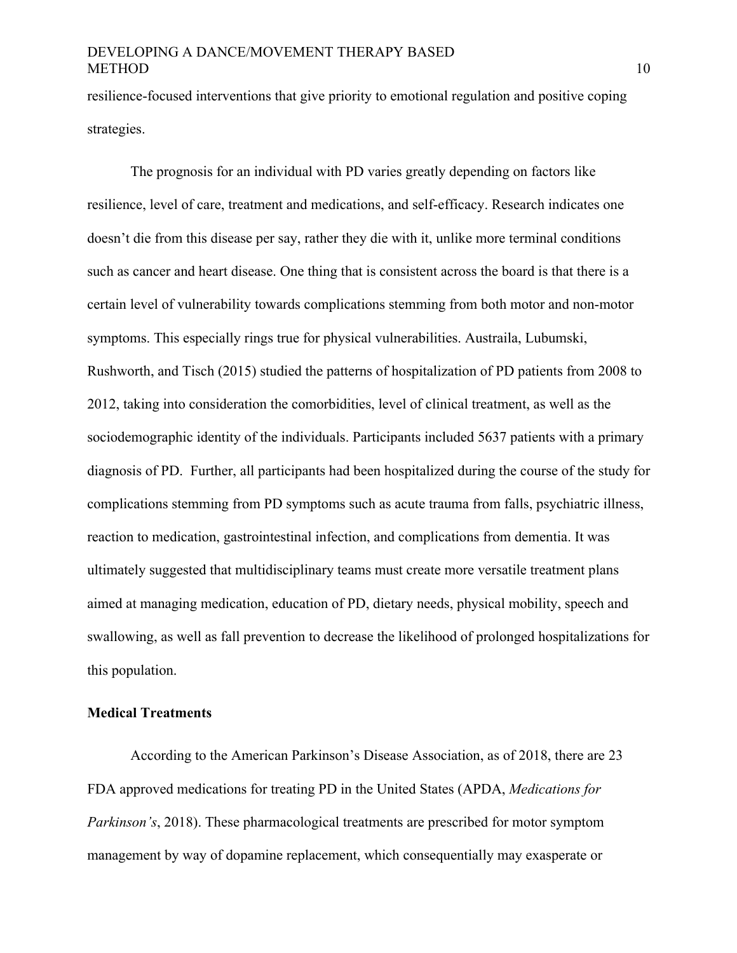resilience-focused interventions that give priority to emotional regulation and positive coping strategies.

The prognosis for an individual with PD varies greatly depending on factors like resilience, level of care, treatment and medications, and self-efficacy. Research indicates one doesn't die from this disease per say, rather they die with it, unlike more terminal conditions such as cancer and heart disease. One thing that is consistent across the board is that there is a certain level of vulnerability towards complications stemming from both motor and non-motor symptoms. This especially rings true for physical vulnerabilities. Austraila, Lubumski, Rushworth, and Tisch (2015) studied the patterns of hospitalization of PD patients from 2008 to 2012, taking into consideration the comorbidities, level of clinical treatment, as well as the sociodemographic identity of the individuals. Participants included 5637 patients with a primary diagnosis of PD. Further, all participants had been hospitalized during the course of the study for complications stemming from PD symptoms such as acute trauma from falls, psychiatric illness, reaction to medication, gastrointestinal infection, and complications from dementia. It was ultimately suggested that multidisciplinary teams must create more versatile treatment plans aimed at managing medication, education of PD, dietary needs, physical mobility, speech and swallowing, as well as fall prevention to decrease the likelihood of prolonged hospitalizations for this population.

#### **Medical Treatments**

According to the American Parkinson's Disease Association, as of 2018, there are 23 FDA approved medications for treating PD in the United States (APDA, *Medications for Parkinson's*, 2018). These pharmacological treatments are prescribed for motor symptom management by way of dopamine replacement, which consequentially may exasperate or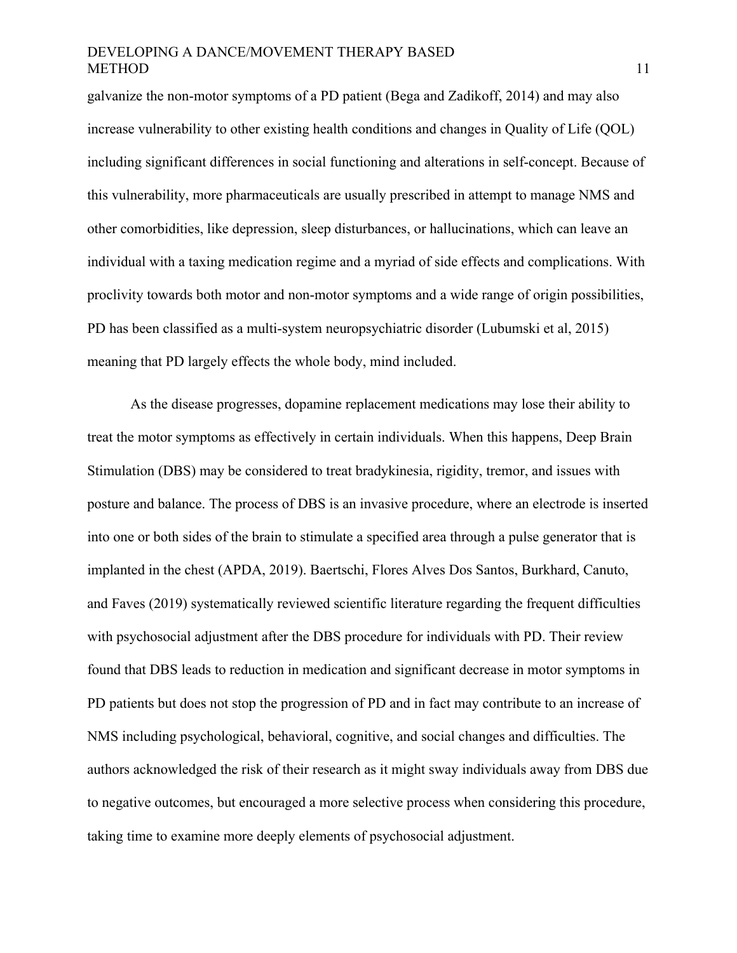galvanize the non-motor symptoms of a PD patient (Bega and Zadikoff, 2014) and may also increase vulnerability to other existing health conditions and changes in Quality of Life (QOL) including significant differences in social functioning and alterations in self-concept. Because of this vulnerability, more pharmaceuticals are usually prescribed in attempt to manage NMS and other comorbidities, like depression, sleep disturbances, or hallucinations, which can leave an individual with a taxing medication regime and a myriad of side effects and complications. With proclivity towards both motor and non-motor symptoms and a wide range of origin possibilities, PD has been classified as a multi-system neuropsychiatric disorder (Lubumski et al, 2015) meaning that PD largely effects the whole body, mind included.

As the disease progresses, dopamine replacement medications may lose their ability to treat the motor symptoms as effectively in certain individuals. When this happens, Deep Brain Stimulation (DBS) may be considered to treat bradykinesia, rigidity, tremor, and issues with posture and balance. The process of DBS is an invasive procedure, where an electrode is inserted into one or both sides of the brain to stimulate a specified area through a pulse generator that is implanted in the chest (APDA, 2019). Baertschi, Flores Alves Dos Santos, Burkhard, Canuto, and Faves (2019) systematically reviewed scientific literature regarding the frequent difficulties with psychosocial adjustment after the DBS procedure for individuals with PD. Their review found that DBS leads to reduction in medication and significant decrease in motor symptoms in PD patients but does not stop the progression of PD and in fact may contribute to an increase of NMS including psychological, behavioral, cognitive, and social changes and difficulties. The authors acknowledged the risk of their research as it might sway individuals away from DBS due to negative outcomes, but encouraged a more selective process when considering this procedure, taking time to examine more deeply elements of psychosocial adjustment.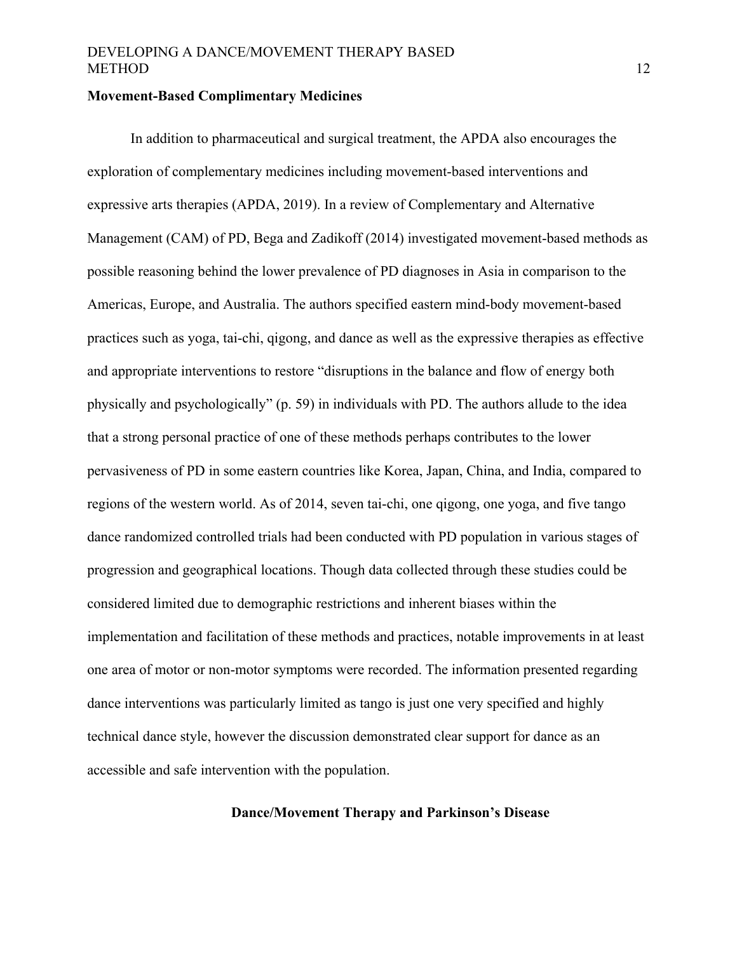#### **Movement-Based Complimentary Medicines**

In addition to pharmaceutical and surgical treatment, the APDA also encourages the exploration of complementary medicines including movement-based interventions and expressive arts therapies (APDA, 2019). In a review of Complementary and Alternative Management (CAM) of PD, Bega and Zadikoff (2014) investigated movement-based methods as possible reasoning behind the lower prevalence of PD diagnoses in Asia in comparison to the Americas, Europe, and Australia. The authors specified eastern mind-body movement-based practices such as yoga, tai-chi, qigong, and dance as well as the expressive therapies as effective and appropriate interventions to restore "disruptions in the balance and flow of energy both physically and psychologically" (p. 59) in individuals with PD. The authors allude to the idea that a strong personal practice of one of these methods perhaps contributes to the lower pervasiveness of PD in some eastern countries like Korea, Japan, China, and India, compared to regions of the western world. As of 2014, seven tai-chi, one qigong, one yoga, and five tango dance randomized controlled trials had been conducted with PD population in various stages of progression and geographical locations. Though data collected through these studies could be considered limited due to demographic restrictions and inherent biases within the implementation and facilitation of these methods and practices, notable improvements in at least one area of motor or non-motor symptoms were recorded. The information presented regarding dance interventions was particularly limited as tango is just one very specified and highly technical dance style, however the discussion demonstrated clear support for dance as an accessible and safe intervention with the population.

#### **Dance/Movement Therapy and Parkinson's Disease**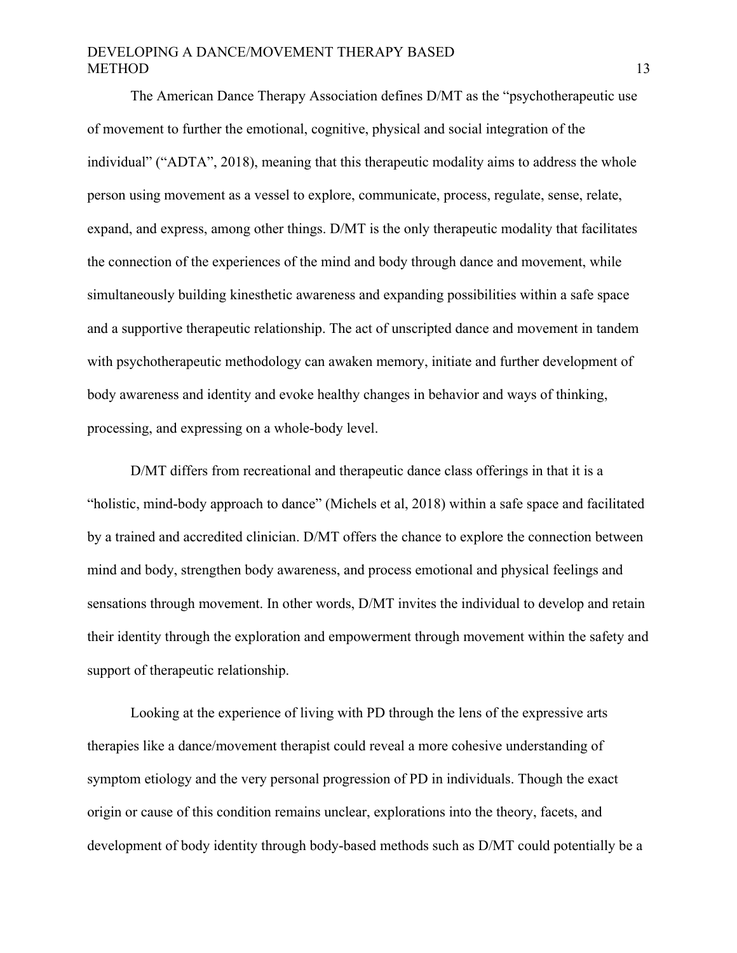The American Dance Therapy Association defines D/MT as the "psychotherapeutic use of movement to further the emotional, cognitive, physical and social integration of the individual" ("ADTA", 2018), meaning that this therapeutic modality aims to address the whole person using movement as a vessel to explore, communicate, process, regulate, sense, relate, expand, and express, among other things. D/MT is the only therapeutic modality that facilitates the connection of the experiences of the mind and body through dance and movement, while simultaneously building kinesthetic awareness and expanding possibilities within a safe space and a supportive therapeutic relationship. The act of unscripted dance and movement in tandem with psychotherapeutic methodology can awaken memory, initiate and further development of body awareness and identity and evoke healthy changes in behavior and ways of thinking, processing, and expressing on a whole-body level.

D/MT differs from recreational and therapeutic dance class offerings in that it is a "holistic, mind-body approach to dance" (Michels et al, 2018) within a safe space and facilitated by a trained and accredited clinician. D/MT offers the chance to explore the connection between mind and body, strengthen body awareness, and process emotional and physical feelings and sensations through movement. In other words, D/MT invites the individual to develop and retain their identity through the exploration and empowerment through movement within the safety and support of therapeutic relationship.

Looking at the experience of living with PD through the lens of the expressive arts therapies like a dance/movement therapist could reveal a more cohesive understanding of symptom etiology and the very personal progression of PD in individuals. Though the exact origin or cause of this condition remains unclear, explorations into the theory, facets, and development of body identity through body-based methods such as D/MT could potentially be a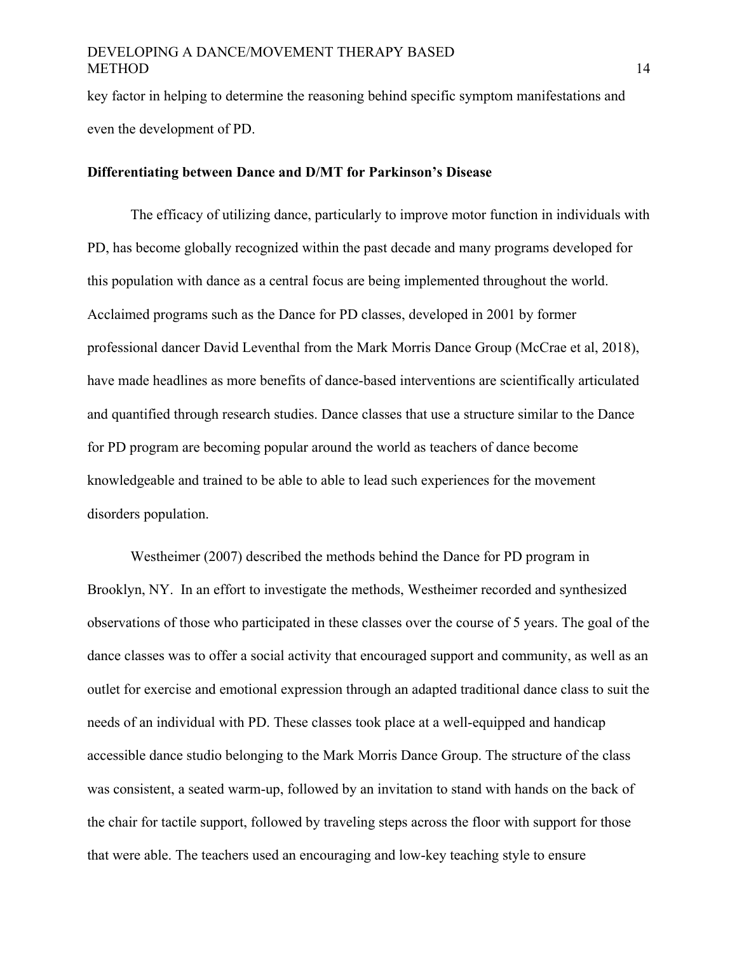key factor in helping to determine the reasoning behind specific symptom manifestations and even the development of PD.

### **Differentiating between Dance and D/MT for Parkinson's Disease**

The efficacy of utilizing dance, particularly to improve motor function in individuals with PD, has become globally recognized within the past decade and many programs developed for this population with dance as a central focus are being implemented throughout the world. Acclaimed programs such as the Dance for PD classes, developed in 2001 by former professional dancer David Leventhal from the Mark Morris Dance Group (McCrae et al, 2018), have made headlines as more benefits of dance-based interventions are scientifically articulated and quantified through research studies. Dance classes that use a structure similar to the Dance for PD program are becoming popular around the world as teachers of dance become knowledgeable and trained to be able to able to lead such experiences for the movement disorders population.

Westheimer (2007) described the methods behind the Dance for PD program in Brooklyn, NY. In an effort to investigate the methods, Westheimer recorded and synthesized observations of those who participated in these classes over the course of 5 years. The goal of the dance classes was to offer a social activity that encouraged support and community, as well as an outlet for exercise and emotional expression through an adapted traditional dance class to suit the needs of an individual with PD. These classes took place at a well-equipped and handicap accessible dance studio belonging to the Mark Morris Dance Group. The structure of the class was consistent, a seated warm-up, followed by an invitation to stand with hands on the back of the chair for tactile support, followed by traveling steps across the floor with support for those that were able. The teachers used an encouraging and low-key teaching style to ensure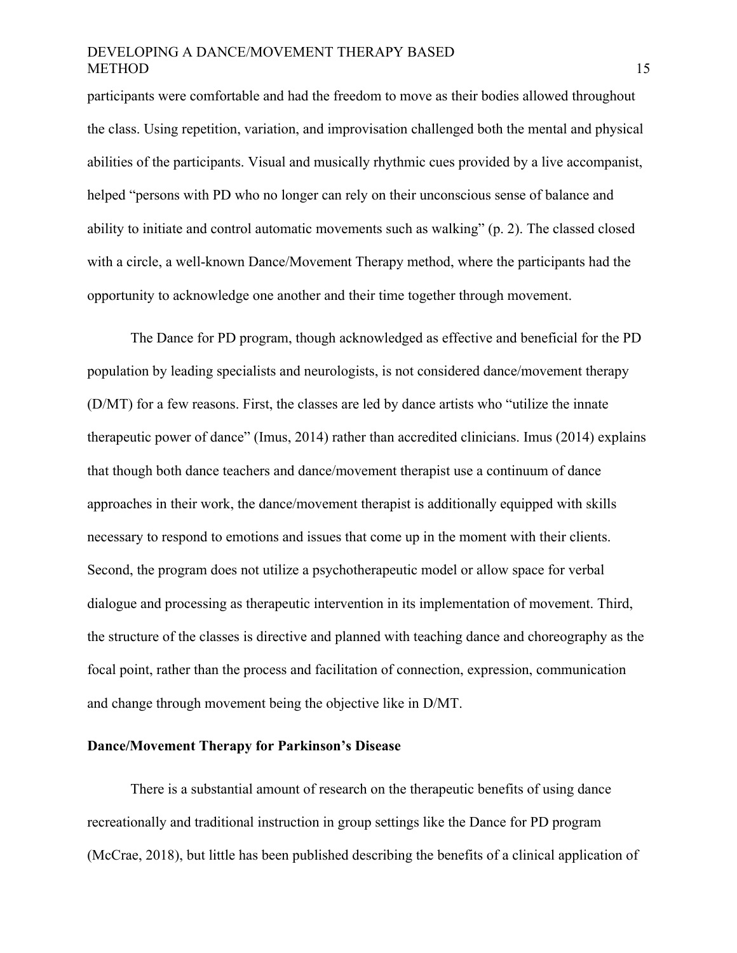participants were comfortable and had the freedom to move as their bodies allowed throughout the class. Using repetition, variation, and improvisation challenged both the mental and physical abilities of the participants. Visual and musically rhythmic cues provided by a live accompanist, helped "persons with PD who no longer can rely on their unconscious sense of balance and ability to initiate and control automatic movements such as walking" (p. 2). The classed closed with a circle, a well-known Dance/Movement Therapy method, where the participants had the opportunity to acknowledge one another and their time together through movement.

The Dance for PD program, though acknowledged as effective and beneficial for the PD population by leading specialists and neurologists, is not considered dance/movement therapy (D/MT) for a few reasons. First, the classes are led by dance artists who "utilize the innate therapeutic power of dance" (Imus, 2014) rather than accredited clinicians. Imus (2014) explains that though both dance teachers and dance/movement therapist use a continuum of dance approaches in their work, the dance/movement therapist is additionally equipped with skills necessary to respond to emotions and issues that come up in the moment with their clients. Second, the program does not utilize a psychotherapeutic model or allow space for verbal dialogue and processing as therapeutic intervention in its implementation of movement. Third, the structure of the classes is directive and planned with teaching dance and choreography as the focal point, rather than the process and facilitation of connection, expression, communication and change through movement being the objective like in D/MT.

#### **Dance/Movement Therapy for Parkinson's Disease**

There is a substantial amount of research on the therapeutic benefits of using dance recreationally and traditional instruction in group settings like the Dance for PD program (McCrae, 2018), but little has been published describing the benefits of a clinical application of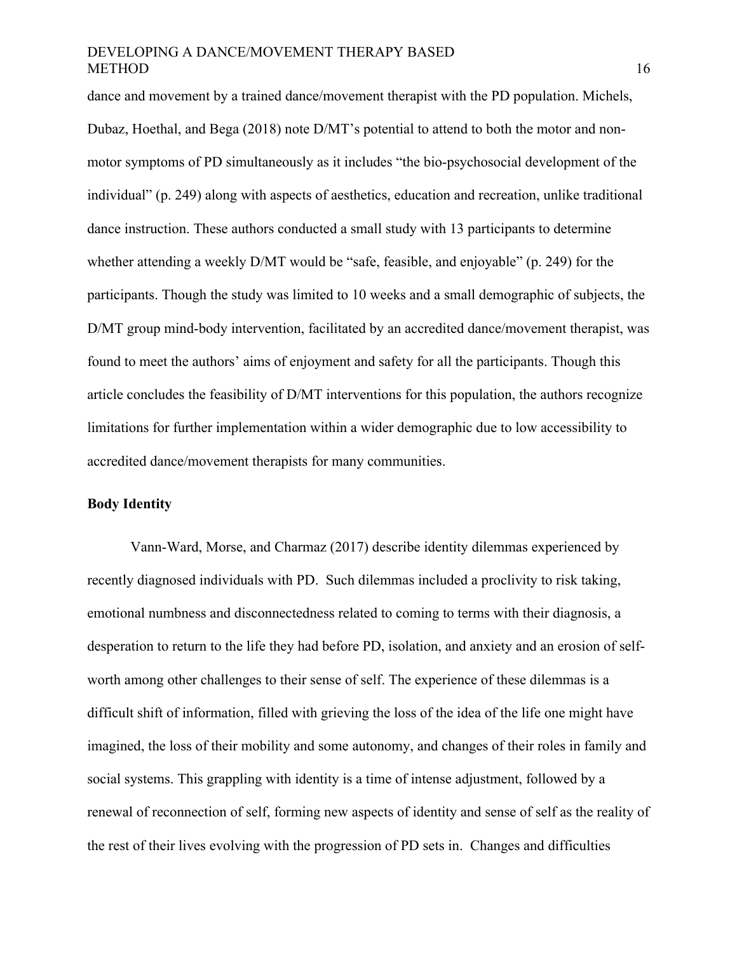dance and movement by a trained dance/movement therapist with the PD population. Michels, Dubaz, Hoethal, and Bega (2018) note D/MT's potential to attend to both the motor and nonmotor symptoms of PD simultaneously as it includes "the bio-psychosocial development of the individual" (p. 249) along with aspects of aesthetics, education and recreation, unlike traditional dance instruction. These authors conducted a small study with 13 participants to determine whether attending a weekly D/MT would be "safe, feasible, and enjoyable" (p. 249) for the participants. Though the study was limited to 10 weeks and a small demographic of subjects, the D/MT group mind-body intervention, facilitated by an accredited dance/movement therapist, was found to meet the authors' aims of enjoyment and safety for all the participants. Though this article concludes the feasibility of D/MT interventions for this population, the authors recognize limitations for further implementation within a wider demographic due to low accessibility to accredited dance/movement therapists for many communities.

#### **Body Identity**

Vann-Ward, Morse, and Charmaz (2017) describe identity dilemmas experienced by recently diagnosed individuals with PD. Such dilemmas included a proclivity to risk taking, emotional numbness and disconnectedness related to coming to terms with their diagnosis, a desperation to return to the life they had before PD, isolation, and anxiety and an erosion of selfworth among other challenges to their sense of self. The experience of these dilemmas is a difficult shift of information, filled with grieving the loss of the idea of the life one might have imagined, the loss of their mobility and some autonomy, and changes of their roles in family and social systems. This grappling with identity is a time of intense adjustment, followed by a renewal of reconnection of self, forming new aspects of identity and sense of self as the reality of the rest of their lives evolving with the progression of PD sets in. Changes and difficulties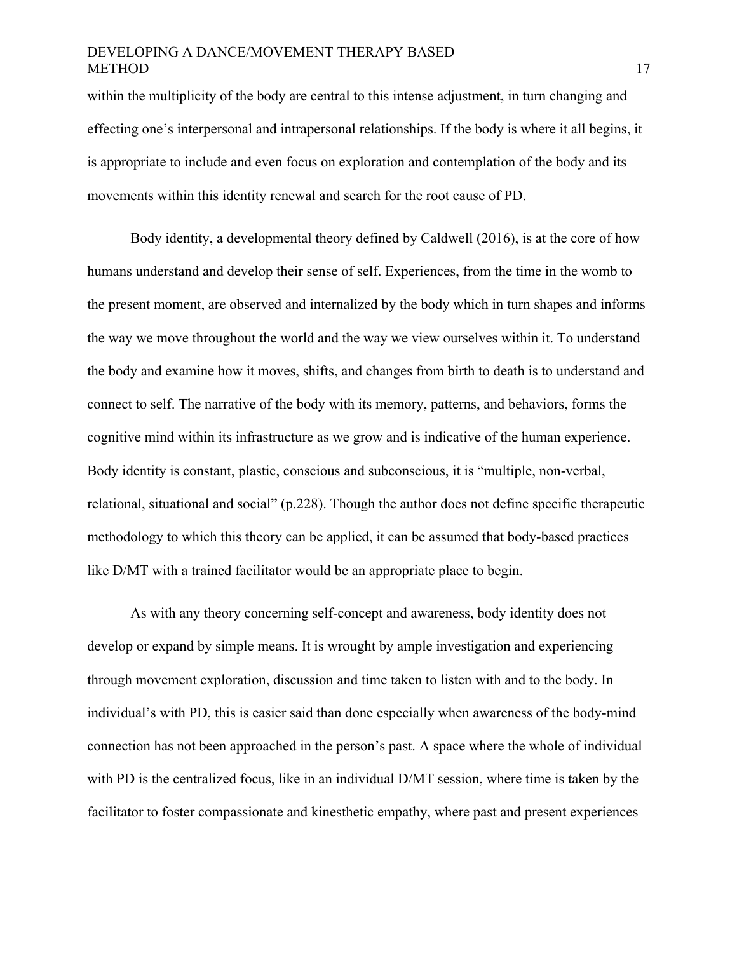within the multiplicity of the body are central to this intense adjustment, in turn changing and effecting one's interpersonal and intrapersonal relationships. If the body is where it all begins, it is appropriate to include and even focus on exploration and contemplation of the body and its movements within this identity renewal and search for the root cause of PD.

Body identity, a developmental theory defined by Caldwell (2016), is at the core of how humans understand and develop their sense of self. Experiences, from the time in the womb to the present moment, are observed and internalized by the body which in turn shapes and informs the way we move throughout the world and the way we view ourselves within it. To understand the body and examine how it moves, shifts, and changes from birth to death is to understand and connect to self. The narrative of the body with its memory, patterns, and behaviors, forms the cognitive mind within its infrastructure as we grow and is indicative of the human experience. Body identity is constant, plastic, conscious and subconscious, it is "multiple, non-verbal, relational, situational and social" (p.228). Though the author does not define specific therapeutic methodology to which this theory can be applied, it can be assumed that body-based practices like D/MT with a trained facilitator would be an appropriate place to begin.

As with any theory concerning self-concept and awareness, body identity does not develop or expand by simple means. It is wrought by ample investigation and experiencing through movement exploration, discussion and time taken to listen with and to the body. In individual's with PD, this is easier said than done especially when awareness of the body-mind connection has not been approached in the person's past. A space where the whole of individual with PD is the centralized focus, like in an individual D/MT session, where time is taken by the facilitator to foster compassionate and kinesthetic empathy, where past and present experiences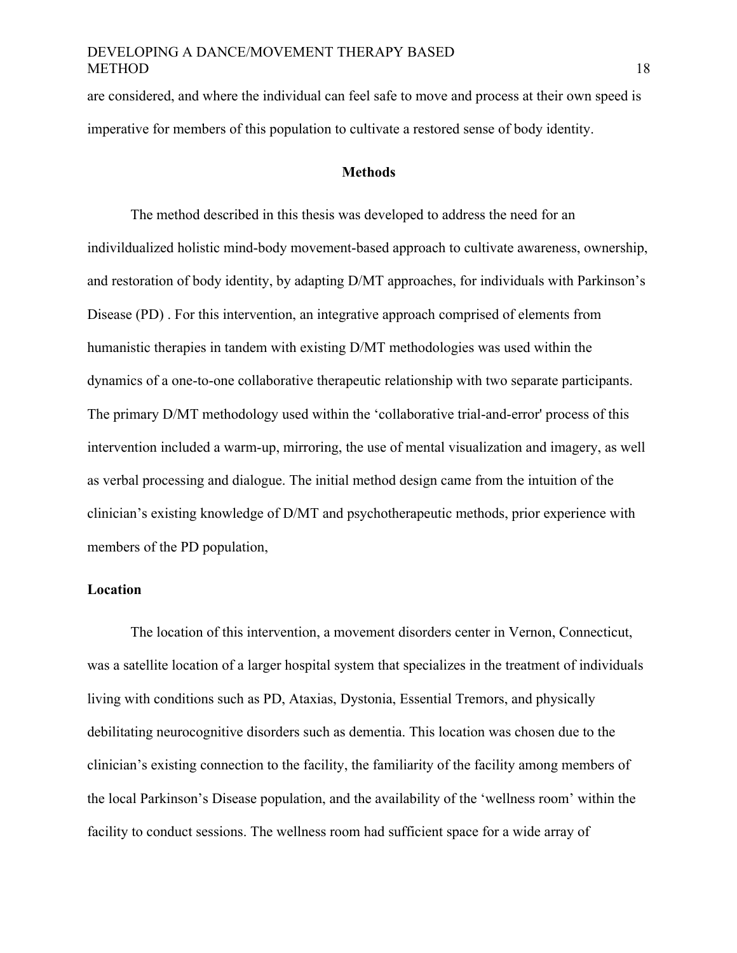are considered, and where the individual can feel safe to move and process at their own speed is imperative for members of this population to cultivate a restored sense of body identity.

#### **Methods**

The method described in this thesis was developed to address the need for an indivildualized holistic mind-body movement-based approach to cultivate awareness, ownership, and restoration of body identity, by adapting D/MT approaches, for individuals with Parkinson's Disease (PD) . For this intervention, an integrative approach comprised of elements from humanistic therapies in tandem with existing D/MT methodologies was used within the dynamics of a one-to-one collaborative therapeutic relationship with two separate participants. The primary D/MT methodology used within the 'collaborative trial-and-error' process of this intervention included a warm-up, mirroring, the use of mental visualization and imagery, as well as verbal processing and dialogue. The initial method design came from the intuition of the clinician's existing knowledge of D/MT and psychotherapeutic methods, prior experience with members of the PD population,

# **Location**

The location of this intervention, a movement disorders center in Vernon, Connecticut, was a satellite location of a larger hospital system that specializes in the treatment of individuals living with conditions such as PD, Ataxias, Dystonia, Essential Tremors, and physically debilitating neurocognitive disorders such as dementia. This location was chosen due to the clinician's existing connection to the facility, the familiarity of the facility among members of the local Parkinson's Disease population, and the availability of the 'wellness room' within the facility to conduct sessions. The wellness room had sufficient space for a wide array of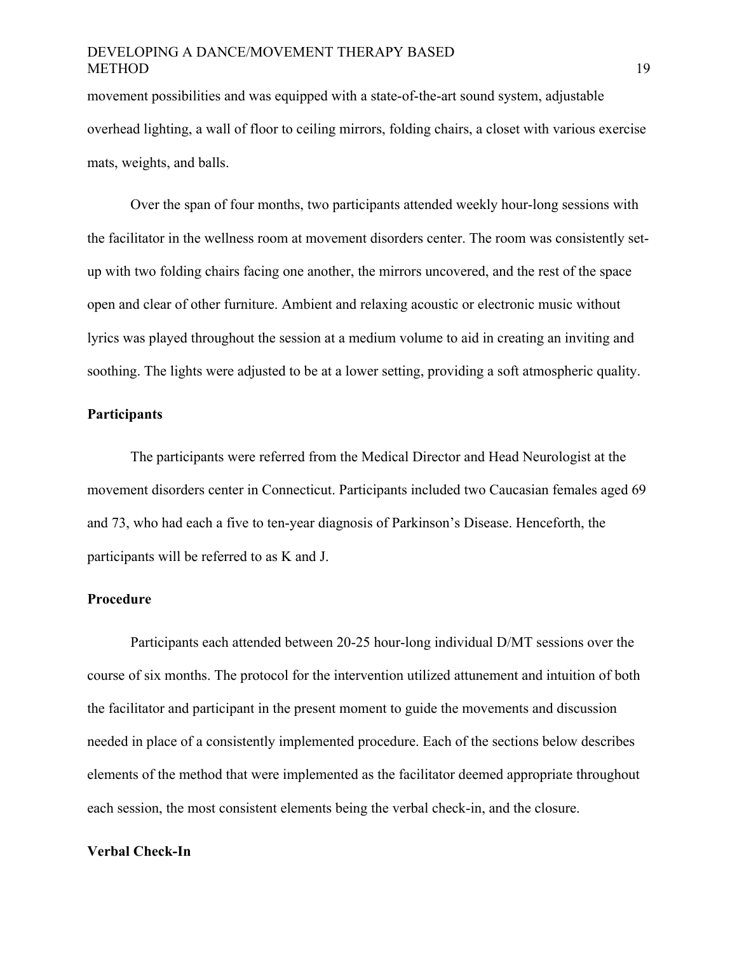movement possibilities and was equipped with a state-of-the-art sound system, adjustable overhead lighting, a wall of floor to ceiling mirrors, folding chairs, a closet with various exercise mats, weights, and balls.

Over the span of four months, two participants attended weekly hour-long sessions with the facilitator in the wellness room at movement disorders center. The room was consistently setup with two folding chairs facing one another, the mirrors uncovered, and the rest of the space open and clear of other furniture. Ambient and relaxing acoustic or electronic music without lyrics was played throughout the session at a medium volume to aid in creating an inviting and soothing. The lights were adjusted to be at a lower setting, providing a soft atmospheric quality.

#### **Participants**

The participants were referred from the Medical Director and Head Neurologist at the movement disorders center in Connecticut. Participants included two Caucasian females aged 69 and 73, who had each a five to ten-year diagnosis of Parkinson's Disease. Henceforth, the participants will be referred to as K and J.

# **Procedure**

Participants each attended between 20-25 hour-long individual D/MT sessions over the course of six months. The protocol for the intervention utilized attunement and intuition of both the facilitator and participant in the present moment to guide the movements and discussion needed in place of a consistently implemented procedure. Each of the sections below describes elements of the method that were implemented as the facilitator deemed appropriate throughout each session, the most consistent elements being the verbal check-in, and the closure.

#### **Verbal Check-In**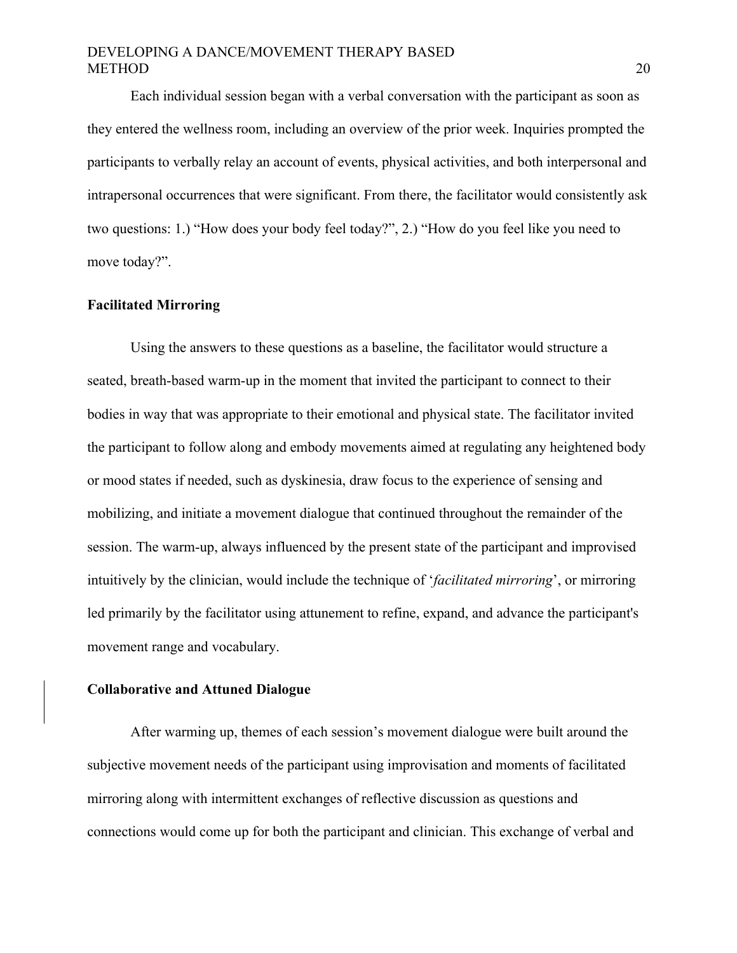Each individual session began with a verbal conversation with the participant as soon as they entered the wellness room, including an overview of the prior week. Inquiries prompted the participants to verbally relay an account of events, physical activities, and both interpersonal and intrapersonal occurrences that were significant. From there, the facilitator would consistently ask two questions: 1.) "How does your body feel today?", 2.) "How do you feel like you need to move today?".

#### **Facilitated Mirroring**

Using the answers to these questions as a baseline, the facilitator would structure a seated, breath-based warm-up in the moment that invited the participant to connect to their bodies in way that was appropriate to their emotional and physical state. The facilitator invited the participant to follow along and embody movements aimed at regulating any heightened body or mood states if needed, such as dyskinesia, draw focus to the experience of sensing and mobilizing, and initiate a movement dialogue that continued throughout the remainder of the session. The warm-up, always influenced by the present state of the participant and improvised intuitively by the clinician, would include the technique of '*facilitated mirroring*', or mirroring led primarily by the facilitator using attunement to refine, expand, and advance the participant's movement range and vocabulary.

#### **Collaborative and Attuned Dialogue**

After warming up, themes of each session's movement dialogue were built around the subjective movement needs of the participant using improvisation and moments of facilitated mirroring along with intermittent exchanges of reflective discussion as questions and connections would come up for both the participant and clinician. This exchange of verbal and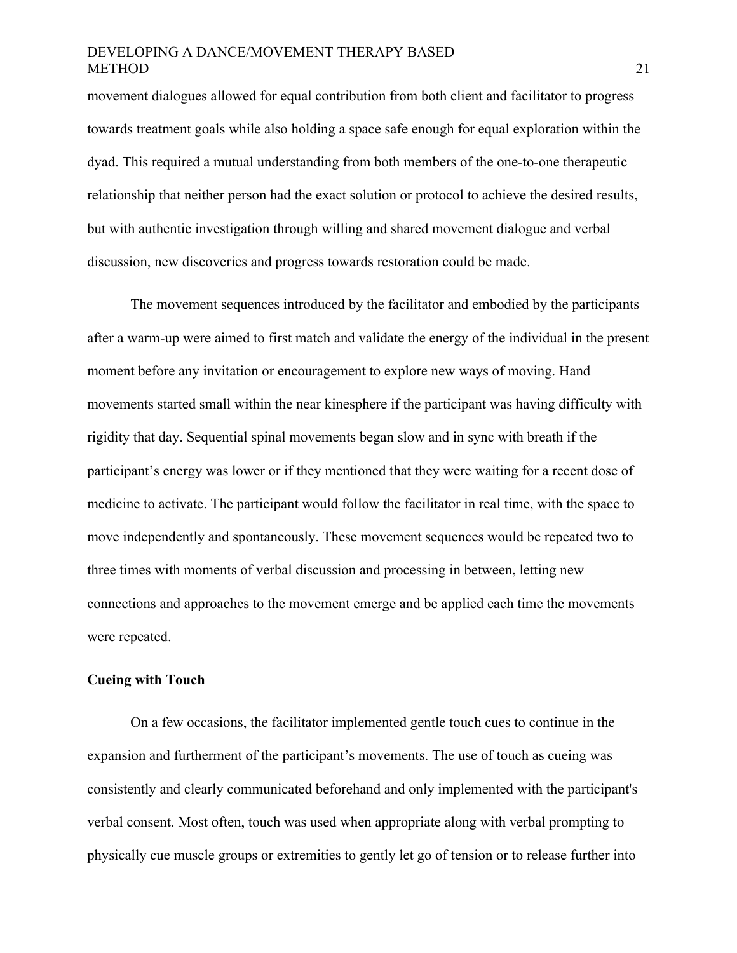movement dialogues allowed for equal contribution from both client and facilitator to progress towards treatment goals while also holding a space safe enough for equal exploration within the dyad. This required a mutual understanding from both members of the one-to-one therapeutic relationship that neither person had the exact solution or protocol to achieve the desired results, but with authentic investigation through willing and shared movement dialogue and verbal discussion, new discoveries and progress towards restoration could be made.

The movement sequences introduced by the facilitator and embodied by the participants after a warm-up were aimed to first match and validate the energy of the individual in the present moment before any invitation or encouragement to explore new ways of moving. Hand movements started small within the near kinesphere if the participant was having difficulty with rigidity that day. Sequential spinal movements began slow and in sync with breath if the participant's energy was lower or if they mentioned that they were waiting for a recent dose of medicine to activate. The participant would follow the facilitator in real time, with the space to move independently and spontaneously. These movement sequences would be repeated two to three times with moments of verbal discussion and processing in between, letting new connections and approaches to the movement emerge and be applied each time the movements were repeated.

#### **Cueing with Touch**

On a few occasions, the facilitator implemented gentle touch cues to continue in the expansion and furtherment of the participant's movements. The use of touch as cueing was consistently and clearly communicated beforehand and only implemented with the participant's verbal consent. Most often, touch was used when appropriate along with verbal prompting to physically cue muscle groups or extremities to gently let go of tension or to release further into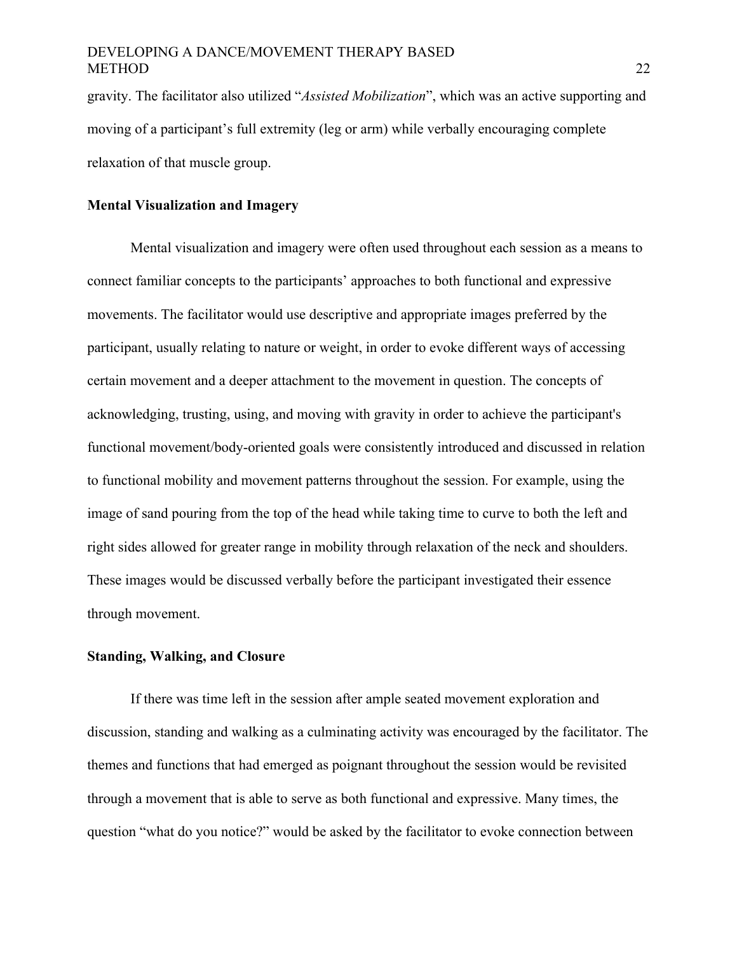gravity. The facilitator also utilized "*Assisted Mobilization*", which was an active supporting and moving of a participant's full extremity (leg or arm) while verbally encouraging complete relaxation of that muscle group.

# **Mental Visualization and Imagery**

Mental visualization and imagery were often used throughout each session as a means to connect familiar concepts to the participants' approaches to both functional and expressive movements. The facilitator would use descriptive and appropriate images preferred by the participant, usually relating to nature or weight, in order to evoke different ways of accessing certain movement and a deeper attachment to the movement in question. The concepts of acknowledging, trusting, using, and moving with gravity in order to achieve the participant's functional movement/body-oriented goals were consistently introduced and discussed in relation to functional mobility and movement patterns throughout the session. For example, using the image of sand pouring from the top of the head while taking time to curve to both the left and right sides allowed for greater range in mobility through relaxation of the neck and shoulders. These images would be discussed verbally before the participant investigated their essence through movement.

### **Standing, Walking, and Closure**

If there was time left in the session after ample seated movement exploration and discussion, standing and walking as a culminating activity was encouraged by the facilitator. The themes and functions that had emerged as poignant throughout the session would be revisited through a movement that is able to serve as both functional and expressive. Many times, the question "what do you notice?" would be asked by the facilitator to evoke connection between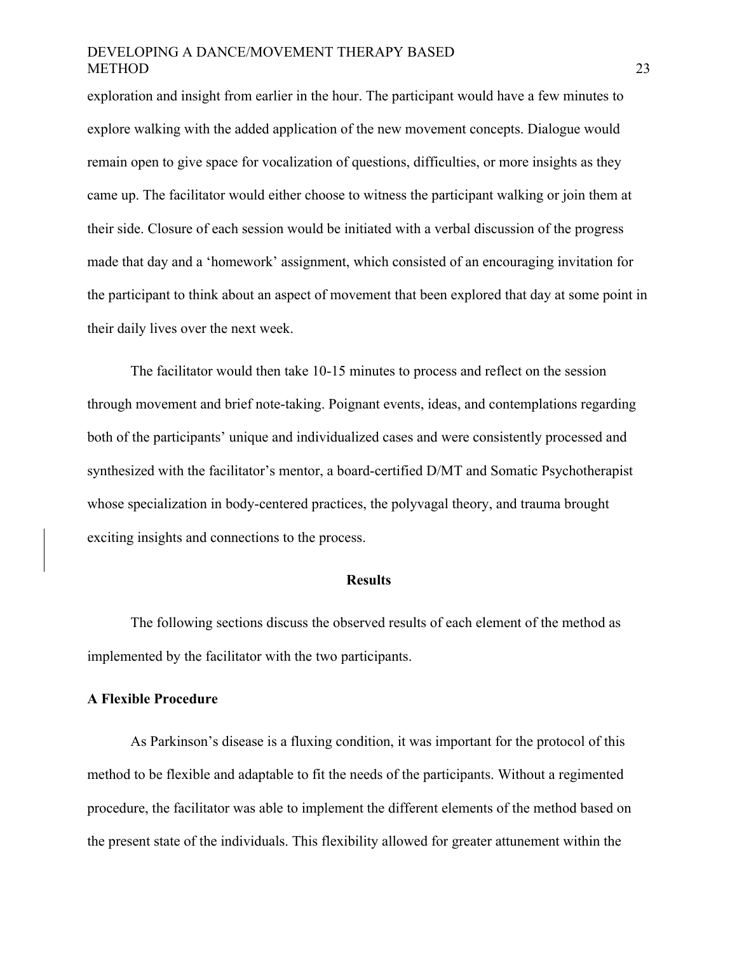exploration and insight from earlier in the hour. The participant would have a few minutes to explore walking with the added application of the new movement concepts. Dialogue would remain open to give space for vocalization of questions, difficulties, or more insights as they came up. The facilitator would either choose to witness the participant walking or join them at their side. Closure of each session would be initiated with a verbal discussion of the progress made that day and a 'homework' assignment, which consisted of an encouraging invitation for the participant to think about an aspect of movement that been explored that day at some point in their daily lives over the next week.

The facilitator would then take 10-15 minutes to process and reflect on the session through movement and brief note-taking. Poignant events, ideas, and contemplations regarding both of the participants' unique and individualized cases and were consistently processed and synthesized with the facilitator's mentor, a board-certified D/MT and Somatic Psychotherapist whose specialization in body-centered practices, the polyvagal theory, and trauma brought exciting insights and connections to the process.

#### **Results**

The following sections discuss the observed results of each element of the method as implemented by the facilitator with the two participants.

#### **A Flexible Procedure**

As Parkinson's disease is a fluxing condition, it was important for the protocol of this method to be flexible and adaptable to fit the needs of the participants. Without a regimented procedure, the facilitator was able to implement the different elements of the method based on the present state of the individuals. This flexibility allowed for greater attunement within the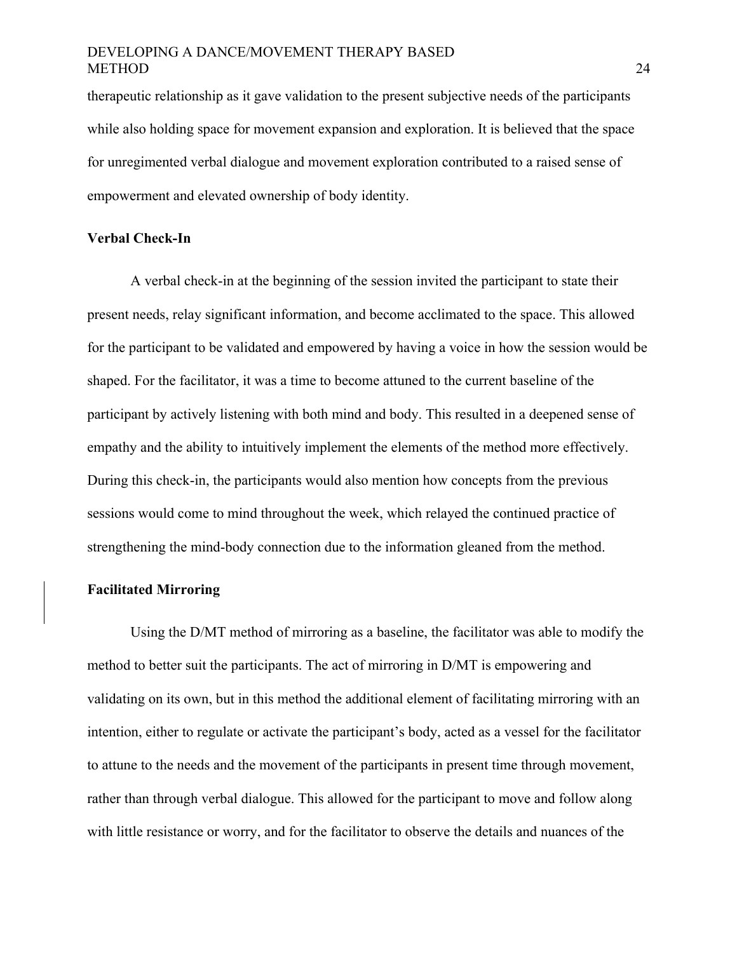therapeutic relationship as it gave validation to the present subjective needs of the participants while also holding space for movement expansion and exploration. It is believed that the space for unregimented verbal dialogue and movement exploration contributed to a raised sense of empowerment and elevated ownership of body identity.

# **Verbal Check-In**

A verbal check-in at the beginning of the session invited the participant to state their present needs, relay significant information, and become acclimated to the space. This allowed for the participant to be validated and empowered by having a voice in how the session would be shaped. For the facilitator, it was a time to become attuned to the current baseline of the participant by actively listening with both mind and body. This resulted in a deepened sense of empathy and the ability to intuitively implement the elements of the method more effectively. During this check-in, the participants would also mention how concepts from the previous sessions would come to mind throughout the week, which relayed the continued practice of strengthening the mind-body connection due to the information gleaned from the method.

#### **Facilitated Mirroring**

Using the D/MT method of mirroring as a baseline, the facilitator was able to modify the method to better suit the participants. The act of mirroring in D/MT is empowering and validating on its own, but in this method the additional element of facilitating mirroring with an intention, either to regulate or activate the participant's body, acted as a vessel for the facilitator to attune to the needs and the movement of the participants in present time through movement, rather than through verbal dialogue. This allowed for the participant to move and follow along with little resistance or worry, and for the facilitator to observe the details and nuances of the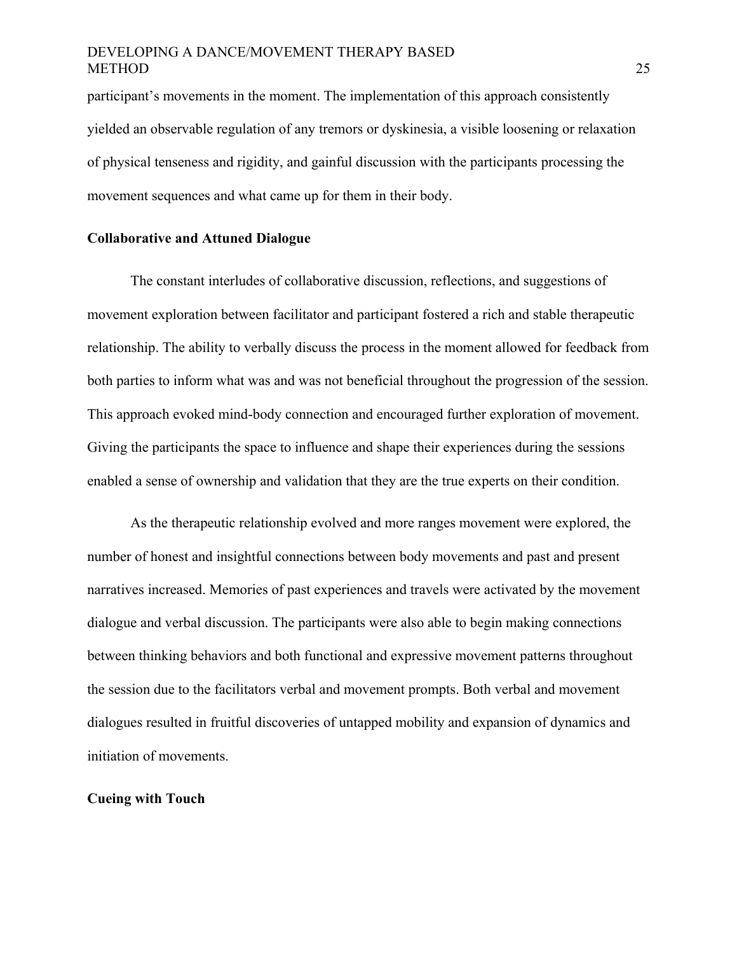participant's movements in the moment. The implementation of this approach consistently yielded an observable regulation of any tremors or dyskinesia, a visible loosening or relaxation of physical tenseness and rigidity, and gainful discussion with the participants processing the movement sequences and what came up for them in their body.

# **Collaborative and Attuned Dialogue**

The constant interludes of collaborative discussion, reflections, and suggestions of movement exploration between facilitator and participant fostered a rich and stable therapeutic relationship. The ability to verbally discuss the process in the moment allowed for feedback from both parties to inform what was and was not beneficial throughout the progression of the session. This approach evoked mind-body connection and encouraged further exploration of movement. Giving the participants the space to influence and shape their experiences during the sessions enabled a sense of ownership and validation that they are the true experts on their condition.

As the therapeutic relationship evolved and more ranges movement were explored, the number of honest and insightful connections between body movements and past and present narratives increased. Memories of past experiences and travels were activated by the movement dialogue and verbal discussion. The participants were also able to begin making connections between thinking behaviors and both functional and expressive movement patterns throughout the session due to the facilitators verbal and movement prompts. Both verbal and movement dialogues resulted in fruitful discoveries of untapped mobility and expansion of dynamics and initiation of movements.

#### **Cueing with Touch**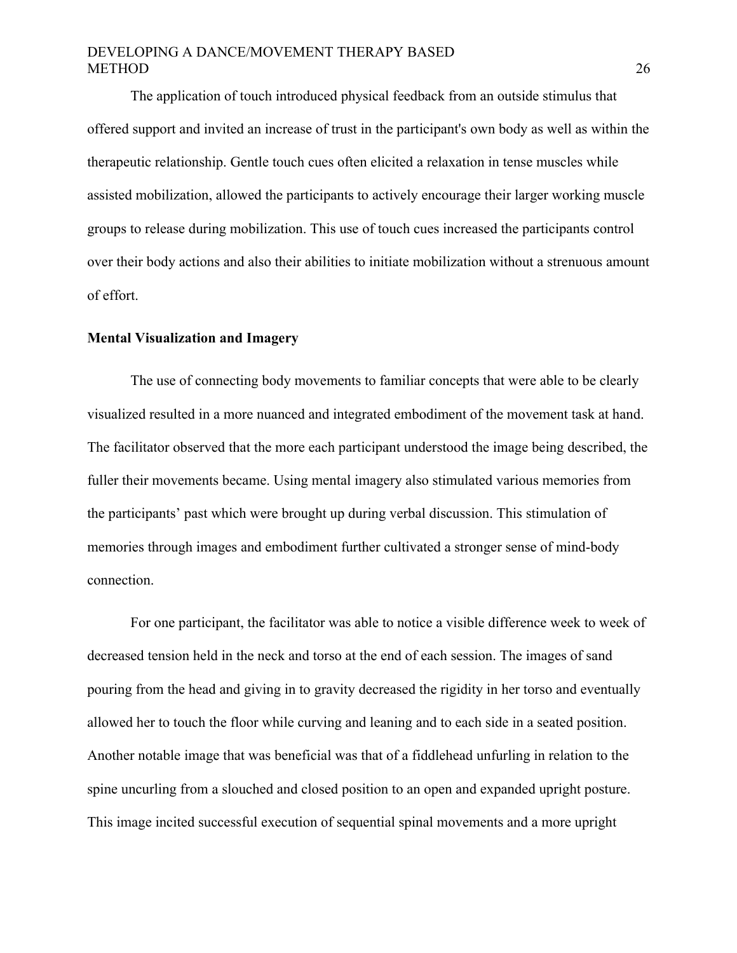The application of touch introduced physical feedback from an outside stimulus that offered support and invited an increase of trust in the participant's own body as well as within the therapeutic relationship. Gentle touch cues often elicited a relaxation in tense muscles while assisted mobilization, allowed the participants to actively encourage their larger working muscle groups to release during mobilization. This use of touch cues increased the participants control over their body actions and also their abilities to initiate mobilization without a strenuous amount of effort.

#### **Mental Visualization and Imagery**

The use of connecting body movements to familiar concepts that were able to be clearly visualized resulted in a more nuanced and integrated embodiment of the movement task at hand. The facilitator observed that the more each participant understood the image being described, the fuller their movements became. Using mental imagery also stimulated various memories from the participants' past which were brought up during verbal discussion. This stimulation of memories through images and embodiment further cultivated a stronger sense of mind-body connection.

For one participant, the facilitator was able to notice a visible difference week to week of decreased tension held in the neck and torso at the end of each session. The images of sand pouring from the head and giving in to gravity decreased the rigidity in her torso and eventually allowed her to touch the floor while curving and leaning and to each side in a seated position. Another notable image that was beneficial was that of a fiddlehead unfurling in relation to the spine uncurling from a slouched and closed position to an open and expanded upright posture. This image incited successful execution of sequential spinal movements and a more upright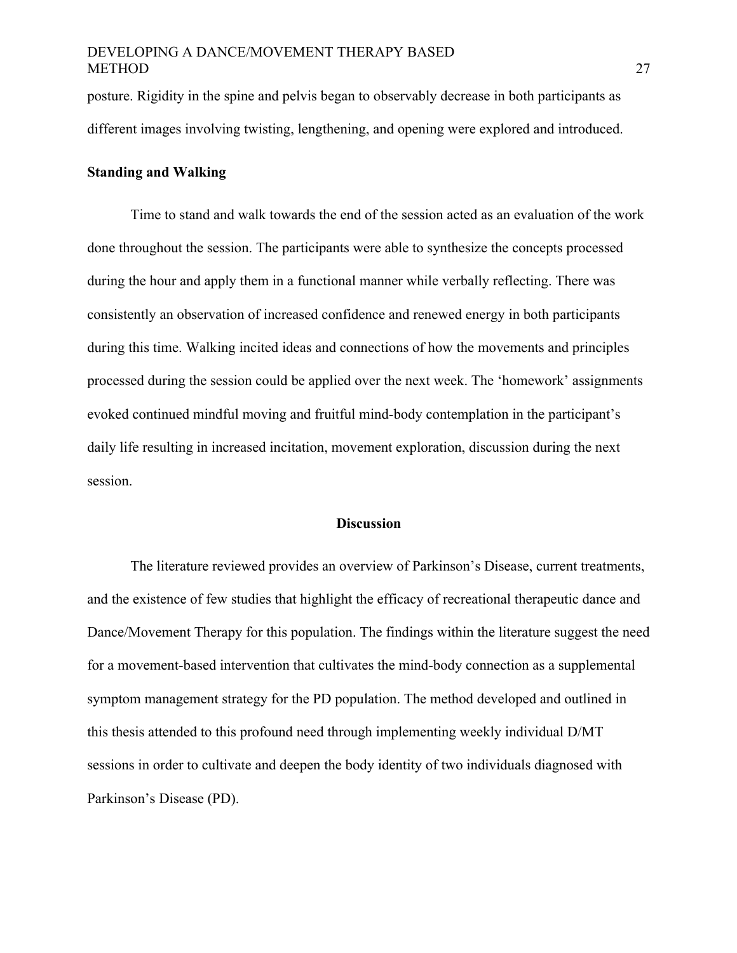posture. Rigidity in the spine and pelvis began to observably decrease in both participants as different images involving twisting, lengthening, and opening were explored and introduced.

# **Standing and Walking**

Time to stand and walk towards the end of the session acted as an evaluation of the work done throughout the session. The participants were able to synthesize the concepts processed during the hour and apply them in a functional manner while verbally reflecting. There was consistently an observation of increased confidence and renewed energy in both participants during this time. Walking incited ideas and connections of how the movements and principles processed during the session could be applied over the next week. The 'homework' assignments evoked continued mindful moving and fruitful mind-body contemplation in the participant's daily life resulting in increased incitation, movement exploration, discussion during the next session.

#### **Discussion**

The literature reviewed provides an overview of Parkinson's Disease, current treatments, and the existence of few studies that highlight the efficacy of recreational therapeutic dance and Dance/Movement Therapy for this population. The findings within the literature suggest the need for a movement-based intervention that cultivates the mind-body connection as a supplemental symptom management strategy for the PD population. The method developed and outlined in this thesis attended to this profound need through implementing weekly individual D/MT sessions in order to cultivate and deepen the body identity of two individuals diagnosed with Parkinson's Disease (PD).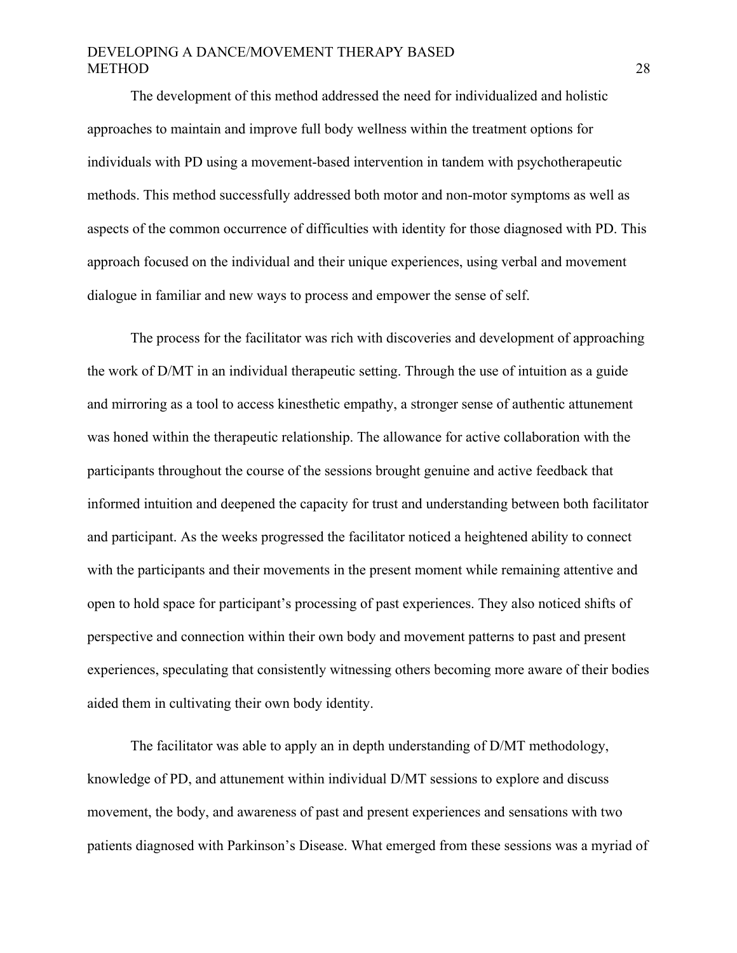The development of this method addressed the need for individualized and holistic approaches to maintain and improve full body wellness within the treatment options for individuals with PD using a movement-based intervention in tandem with psychotherapeutic methods. This method successfully addressed both motor and non-motor symptoms as well as aspects of the common occurrence of difficulties with identity for those diagnosed with PD. This approach focused on the individual and their unique experiences, using verbal and movement dialogue in familiar and new ways to process and empower the sense of self.

The process for the facilitator was rich with discoveries and development of approaching the work of D/MT in an individual therapeutic setting. Through the use of intuition as a guide and mirroring as a tool to access kinesthetic empathy, a stronger sense of authentic attunement was honed within the therapeutic relationship. The allowance for active collaboration with the participants throughout the course of the sessions brought genuine and active feedback that informed intuition and deepened the capacity for trust and understanding between both facilitator and participant. As the weeks progressed the facilitator noticed a heightened ability to connect with the participants and their movements in the present moment while remaining attentive and open to hold space for participant's processing of past experiences. They also noticed shifts of perspective and connection within their own body and movement patterns to past and present experiences, speculating that consistently witnessing others becoming more aware of their bodies aided them in cultivating their own body identity.

The facilitator was able to apply an in depth understanding of D/MT methodology, knowledge of PD, and attunement within individual D/MT sessions to explore and discuss movement, the body, and awareness of past and present experiences and sensations with two patients diagnosed with Parkinson's Disease. What emerged from these sessions was a myriad of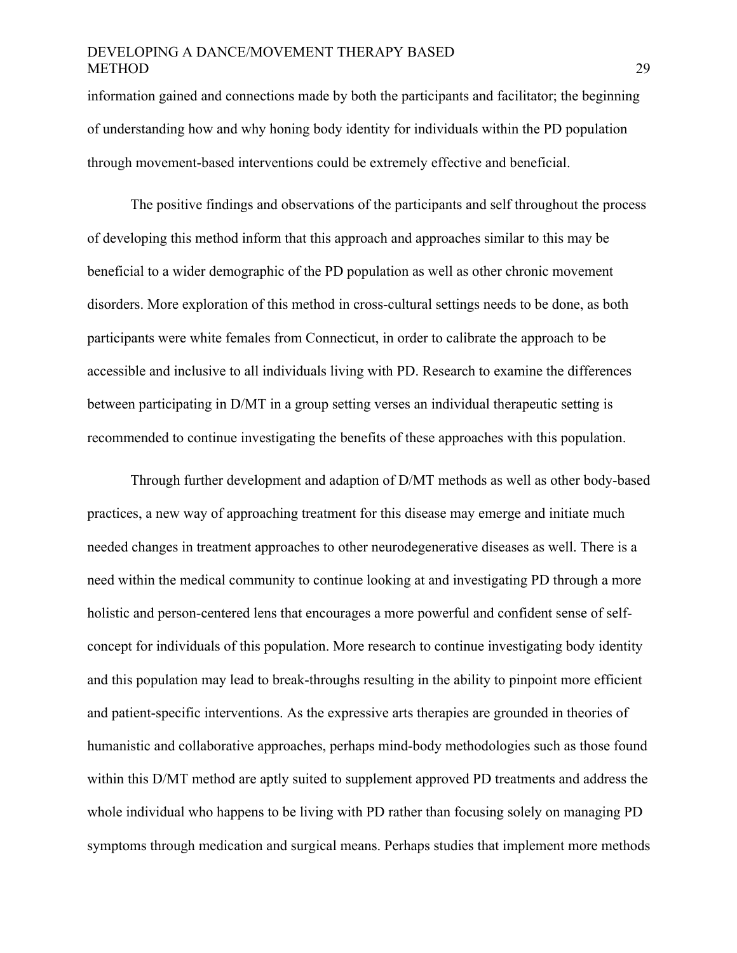information gained and connections made by both the participants and facilitator; the beginning of understanding how and why honing body identity for individuals within the PD population through movement-based interventions could be extremely effective and beneficial.

The positive findings and observations of the participants and self throughout the process of developing this method inform that this approach and approaches similar to this may be beneficial to a wider demographic of the PD population as well as other chronic movement disorders. More exploration of this method in cross-cultural settings needs to be done, as both participants were white females from Connecticut, in order to calibrate the approach to be accessible and inclusive to all individuals living with PD. Research to examine the differences between participating in D/MT in a group setting verses an individual therapeutic setting is recommended to continue investigating the benefits of these approaches with this population.

Through further development and adaption of D/MT methods as well as other body-based practices, a new way of approaching treatment for this disease may emerge and initiate much needed changes in treatment approaches to other neurodegenerative diseases as well. There is a need within the medical community to continue looking at and investigating PD through a more holistic and person-centered lens that encourages a more powerful and confident sense of selfconcept for individuals of this population. More research to continue investigating body identity and this population may lead to break-throughs resulting in the ability to pinpoint more efficient and patient-specific interventions. As the expressive arts therapies are grounded in theories of humanistic and collaborative approaches, perhaps mind-body methodologies such as those found within this D/MT method are aptly suited to supplement approved PD treatments and address the whole individual who happens to be living with PD rather than focusing solely on managing PD symptoms through medication and surgical means. Perhaps studies that implement more methods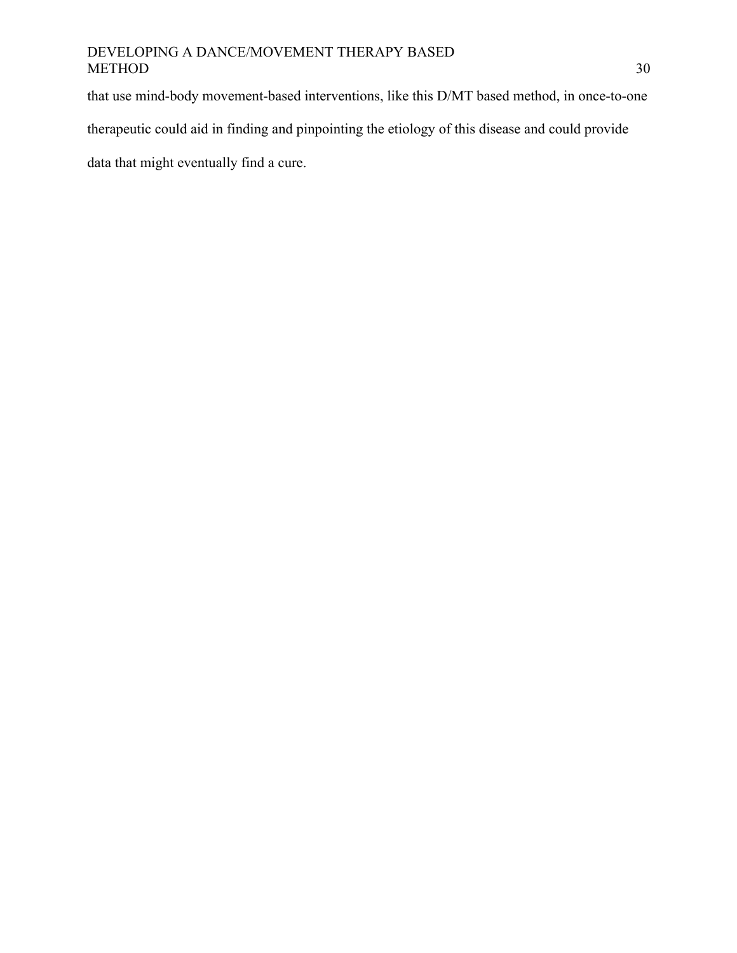that use mind-body movement-based interventions, like this D/MT based method, in once-to-one

therapeutic could aid in finding and pinpointing the etiology of this disease and could provide

data that might eventually find a cure.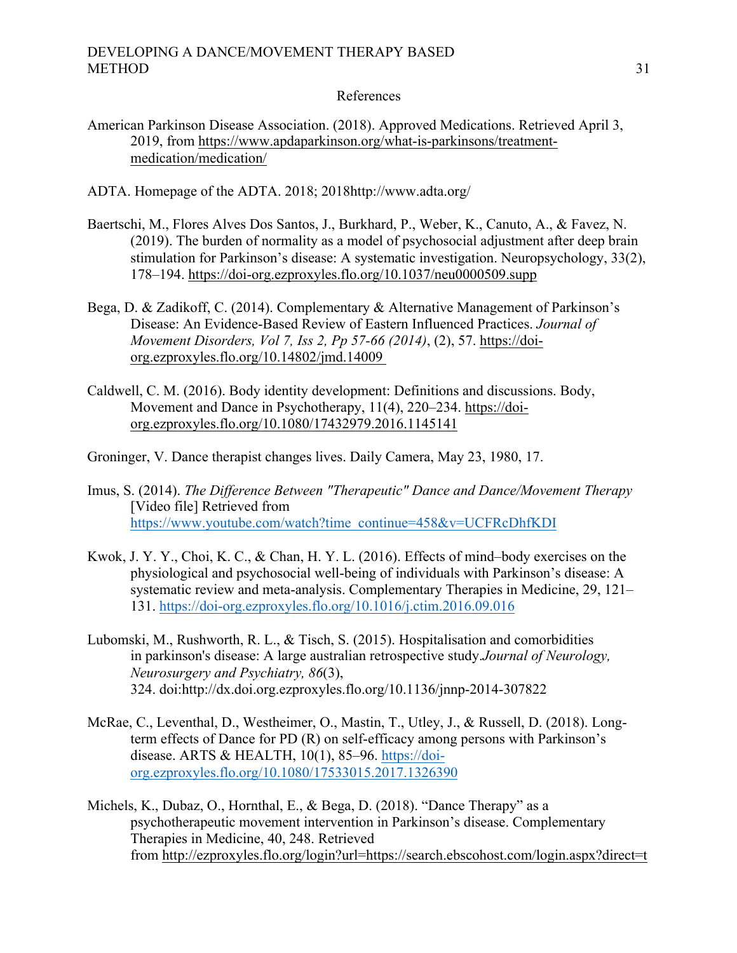# References

- American Parkinson Disease Association. (2018). Approved Medications. Retrieved April 3, 2019, from https://www.apdaparkinson.org/what-is-parkinsons/treatmentmedication/medication/
- ADTA. Homepage of the ADTA. 2018; 2018http://www.adta.org/
- Baertschi, M., Flores Alves Dos Santos, J., Burkhard, P., Weber, K., Canuto, A., & Favez, N. (2019). The burden of normality as a model of psychosocial adjustment after deep brain stimulation for Parkinson's disease: A systematic investigation. Neuropsychology, 33(2), 178–194. https://doi-org.ezproxyles.flo.org/10.1037/neu0000509.supp
- Bega, D. & Zadikoff, C. (2014). Complementary & Alternative Management of Parkinson's Disease: An Evidence-Based Review of Eastern Influenced Practices. *Journal of Movement Disorders, Vol 7, Iss 2, Pp 57-66 (2014)*, (2), 57. https://doiorg.ezproxyles.flo.org/10.14802/jmd.14009
- Caldwell, C. M. (2016). Body identity development: Definitions and discussions. Body, Movement and Dance in Psychotherapy, 11(4), 220–234. https://doiorg.ezproxyles.flo.org/10.1080/17432979.2016.1145141
- Groninger, V. Dance therapist changes lives. Daily Camera, May 23, 1980, 17.
- Imus, S. (2014). *The Difference Between "Therapeutic" Dance and Dance/Movement Therapy* [Video file] Retrieved from https://www.youtube.com/watch?time\_continue=458&v=UCFRcDhfKDI
- Kwok, J. Y. Y., Choi, K. C., & Chan, H. Y. L. (2016). Effects of mind–body exercises on the physiological and psychosocial well-being of individuals with Parkinson's disease: A systematic review and meta-analysis. Complementary Therapies in Medicine, 29, 121– 131. https://doi-org.ezproxyles.flo.org/10.1016/j.ctim.2016.09.016
- Lubomski, M., Rushworth, R. L., & Tisch, S. (2015). Hospitalisation and comorbidities in parkinson's disease: A large australian retrospective study.*Journal of Neurology, Neurosurgery and Psychiatry, 86*(3), 324. doi:http://dx.doi.org.ezproxyles.flo.org/10.1136/jnnp-2014-307822
- McRae, C., Leventhal, D., Westheimer, O., Mastin, T., Utley, J., & Russell, D. (2018). Longterm effects of Dance for PD (R) on self-efficacy among persons with Parkinson's disease. ARTS  $& \text{HEALTH}$ , 10(1), 85–96. https://doiorg.ezproxyles.flo.org/10.1080/17533015.2017.1326390
- Michels, K., Dubaz, O., Hornthal, E., & Bega, D. (2018). "Dance Therapy" as a psychotherapeutic movement intervention in Parkinson's disease. Complementary Therapies in Medicine, 40, 248. Retrieved from http://ezproxyles.flo.org/login?url=https://search.ebscohost.com/login.aspx?direct=t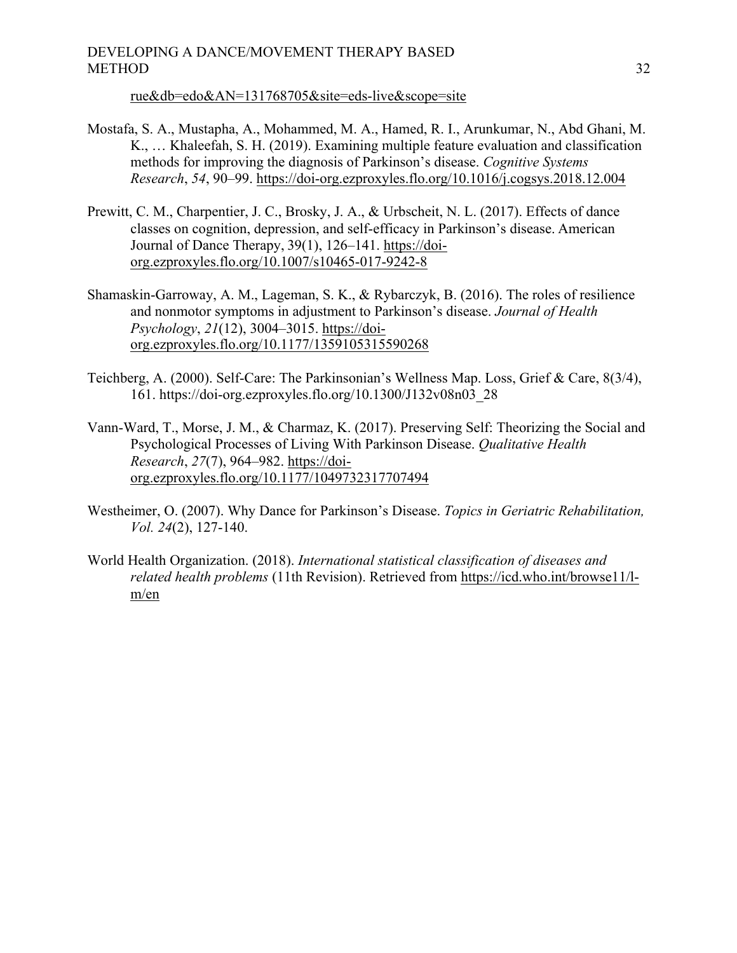rue&db=edo&AN=131768705&site=eds-live&scope=site

- Mostafa, S. A., Mustapha, A., Mohammed, M. A., Hamed, R. I., Arunkumar, N., Abd Ghani, M. K., … Khaleefah, S. H. (2019). Examining multiple feature evaluation and classification methods for improving the diagnosis of Parkinson's disease. *Cognitive Systems Research*, *54*, 90–99. https://doi-org.ezproxyles.flo.org/10.1016/j.cogsys.2018.12.004
- Prewitt, C. M., Charpentier, J. C., Brosky, J. A., & Urbscheit, N. L. (2017). Effects of dance classes on cognition, depression, and self-efficacy in Parkinson's disease. American Journal of Dance Therapy, 39(1), 126–141. https://doiorg.ezproxyles.flo.org/10.1007/s10465-017-9242-8
- Shamaskin-Garroway, A. M., Lageman, S. K., & Rybarczyk, B. (2016). The roles of resilience and nonmotor symptoms in adjustment to Parkinson's disease. *Journal of Health Psychology*, *21*(12), 3004–3015. https://doiorg.ezproxyles.flo.org/10.1177/1359105315590268
- Teichberg, A. (2000). Self-Care: The Parkinsonian's Wellness Map. Loss, Grief & Care, 8(3/4), 161. https://doi-org.ezproxyles.flo.org/10.1300/J132v08n03\_28
- Vann-Ward, T., Morse, J. M., & Charmaz, K. (2017). Preserving Self: Theorizing the Social and Psychological Processes of Living With Parkinson Disease. *Qualitative Health Research*, *27*(7), 964–982. https://doiorg.ezproxyles.flo.org/10.1177/1049732317707494
- Westheimer, O. (2007). Why Dance for Parkinson's Disease. *Topics in Geriatric Rehabilitation, Vol. 24*(2), 127-140.
- World Health Organization. (2018). *International statistical classification of diseases and related health problems* (11th Revision). Retrieved from https://icd.who.int/browse11/lm/en